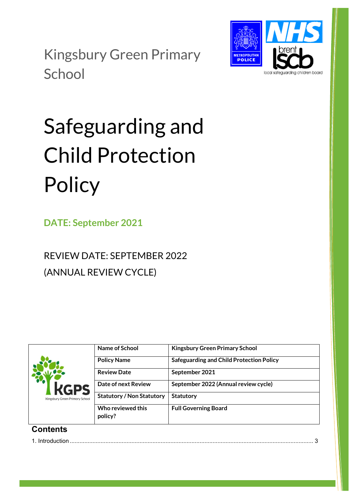Kingsbury Green Primary **School** 



Safeguarding and Child Protection **Policy** 

**DATE: September 2021**

REVIEW DATE: SEPTEMBER 2022 (ANNUAL REVIEW CYCLE)

| <b>KGPS</b><br>Kingsbury Green Primary School | Name of School                   | <b>Kingsbury Green Primary School</b>           |
|-----------------------------------------------|----------------------------------|-------------------------------------------------|
|                                               | <b>Policy Name</b>               | <b>Safeguarding and Child Protection Policy</b> |
|                                               | <b>Review Date</b>               | September 2021                                  |
|                                               | Date of next Review              | September 2022 (Annual review cycle)            |
|                                               | <b>Statutory / Non Statutory</b> | <b>Statutory</b>                                |
|                                               | Who reviewed this<br>policy?     | <b>Full Governing Board</b>                     |
|                                               |                                  |                                                 |

# **Contents**

1. Introduction [......................................................................................................................................................](#page-1-0) 3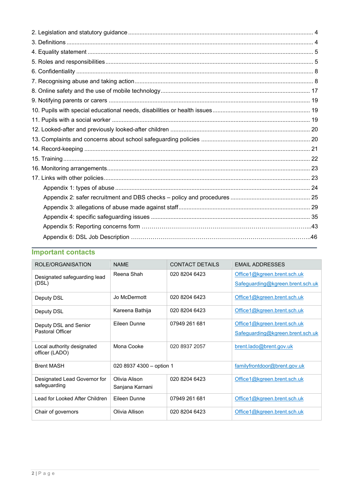# **Important contacts**

<span id="page-1-0"></span>

| ROLE/ORGANISATION                            | <b>NAMF</b>              | <b>CONTACT DETAILS</b> | <b>FMAIL ADDRESSES</b>           |
|----------------------------------------------|--------------------------|------------------------|----------------------------------|
| Designated safeguarding lead                 | Reena Shah               | 020 8204 6423          | Office1@kgreen.brent.sch.uk      |
| (DSL)                                        |                          |                        | Safeguarding@kgreen.brent.sch.uk |
| Deputy DSL                                   | Jo McDermott             | 020 8204 6423          | Office1@kgreen.brent.sch.uk      |
| Deputy DSL                                   | Kareena Bathija          | 020 8204 6423          | Office1@kgreen.brent.sch.uk      |
| Deputy DSL and Senior                        | Fileen Dunne             | 07949 261 681          | Office1@kgreen.brent.sch.uk      |
| <b>Pastoral Officer</b>                      |                          |                        | Safeguarding@kgreen.brent.sch.uk |
| Local authority designated<br>officer (LADO) | Mona Cooke               | 020 8937 2057          | brent.lado@brent.gov.uk          |
| <b>Brent MASH</b>                            | 020 8937 4300 - option 1 |                        | familyfrontdoor@brent.gov.uk     |
| Designated Lead Governor for                 | Olivia Alison            | 020 8204 6423          | Office1@kgreen.brent.sch.uk      |
| safeguarding                                 | Sanjana Karnani          |                        |                                  |
| Lead for Looked After Children               | Fileen Dunne             | 07949 261 681          | Office1@kgreen.brent.sch.uk      |
| Chair of governors                           | Olivia Allison           | 020 8204 6423          | Office1@kgreen.brent.sch.uk      |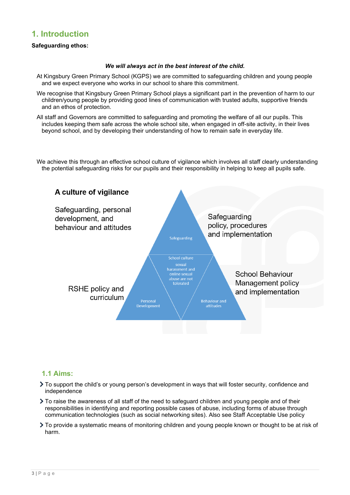# **1. Introduction**

## **Safeguarding ethos:**

### *We will always act in the best interest of the child.*

- At Kingsbury Green Primary School (KGPS) we are committed to safeguarding children and young people and we expect everyone who works in our school to share this commitment.
- We recognise that Kingsbury Green Primary School plays a significant part in the prevention of harm to our children/young people by providing good lines of communication with trusted adults, supportive friends and an ethos of protection.
- All staff and Governors are committed to safeguarding and promoting the welfare of all our pupils. This includes keeping them safe across the whole school site, when engaged in off-site activity, in their lives beyond school, and by developing their understanding of how to remain safe in everyday life.

We achieve this through an effective school culture of vigilance which involves all staff clearly understanding the potential safeguarding risks for our pupils and their responsibility in helping to keep all pupils safe.



# **1.1 Aims:**

- To support the child's or young person's development in ways that will foster security, confidence and independence
- To raise the awareness of all staff of the need to safeguard children and young people and of their responsibilities in identifying and reporting possible cases of abuse, including forms of abuse through communication technologies (such as social networking sites). Also see Staff Acceptable Use policy
- To provide a systematic means of monitoring children and young people known or thought to be at risk of harm.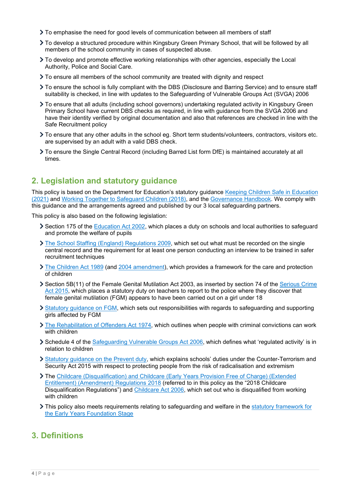- To emphasise the need for good levels of communication between all members of staff
- To develop a structured procedure within Kingsbury Green Primary School, that will be followed by all members of the school community in cases of suspected abuse.
- To develop and promote effective working relationships with other agencies, especially the Local Authority, Police and Social Care.
- To ensure all members of the school community are treated with dignity and respect
- To ensure the school is fully compliant with the DBS (Disclosure and Barring Service) and to ensure staff suitability is checked, in line with updates to the Safeguarding of Vulnerable Groups Act (SVGA) 2006
- To ensure that all adults (including school governors) undertaking regulated activity in Kingsbury Green Primary School have current DBS checks as required, in line with guidance from the SVGA 2006 and have their identity verified by original documentation and also that references are checked in line with the Safe Recruitment policy
- To ensure that any other adults in the school eg. Short term students/volunteers, contractors, visitors etc. are supervised by an adult with a valid DBS check.
- To ensure the Single Central Record (including Barred List form DfE) is maintained accurately at all times.

# <span id="page-3-0"></span>**2. Legislation and statutory guidance**

This policy is based on the Department for Education's statutory guidance Keeping Children Safe in Education [\(2021\)](https://www.gov.uk/government/publications/keeping-children-safe-in-education--2) and [Working Together to Safeguard Children \(2018\),](https://www.gov.uk/government/publications/working-together-to-safeguard-children--2) and the [Governance Handbook.](https://www.gov.uk/government/publications/governance-handbook) We comply with this guidance and the arrangements agreed and published by our 3 local safeguarding partners.

This policy is also based on the following legislation:

- Section 175 of the [Education Act 2002,](http://www.legislation.gov.uk/ukpga/2002/32/section/175) which places a duty on schools and local authorities to safeguard and promote the welfare of pupils
- [The School Staffing \(England\) Regulations 2009,](http://www.legislation.gov.uk/uksi/2009/2680/contents/made) which set out what must be recorded on the single central record and the requirement for at least one person conducting an interview to be trained in safer recruitment techniques
- [The Children Act 1989](http://www.legislation.gov.uk/ukpga/1989/41) (and [2004 amendment\)](http://www.legislation.gov.uk/ukpga/2004/31/contents), which provides a framework for the care and protection of children
- Section 5B(11) of the Female Genital Mutilation Act 2003, as inserted by section 74 of the [Serious Crime](http://www.legislation.gov.uk/ukpga/2015/9/part/5/crossheading/female-genital-mutilation)  [Act 2015,](http://www.legislation.gov.uk/ukpga/2015/9/part/5/crossheading/female-genital-mutilation) which places a statutory duty on teachers to report to the police where they discover that female genital mutilation (FGM) appears to have been carried out on a girl under 18
- [Statutory guidance on FGM,](https://www.gov.uk/government/publications/multi-agency-statutory-guidance-on-female-genital-mutilation) which sets out responsibilities with regards to safeguarding and supporting girls affected by FGM
- $\sum$  The [Rehabilitation of Offenders Act 1974,](http://www.legislation.gov.uk/ukpga/1974/53) which outlines when people with criminal convictions can work with children
- Schedule 4 of the [Safeguarding Vulnerable Groups Act 2006,](http://www.legislation.gov.uk/ukpga/2006/47/schedule/4) which defines what 'regulated activity' is in relation to children
- [Statutory guidance on the Prevent duty,](https://www.gov.uk/government/publications/prevent-duty-guidance) which explains schools' duties under the Counter-Terrorism and Security Act 2015 with respect to protecting people from the risk of radicalisation and extremism
- The [Childcare \(Disqualification\) and Childcare \(Early Years Provision Free of Charge\) \(Extended](http://www.legislation.gov.uk/uksi/2018/794/contents/made)  [Entitlement\) \(Amendment\) Regulations 2018](http://www.legislation.gov.uk/uksi/2018/794/contents/made) (referred to in this policy as the "2018 Childcare Disqualification Regulations") and [Childcare Act 2006,](http://www.legislation.gov.uk/ukpga/2006/21/contents) which set out who is disqualified from working with children
- This policy also meets requirements relating to safeguarding and welfare in the statutory framework for [the Early Years Foundation Stage](https://www.gov.uk/government/publications/early-years-foundation-stage-framework--2)

# <span id="page-3-1"></span>**3. Definitions**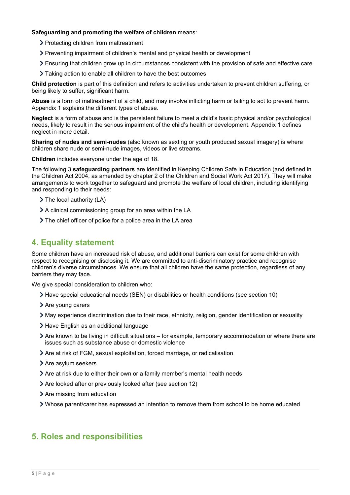### **Safeguarding and promoting the welfare of children** means:

- > Protecting children from maltreatment
- Preventing impairment of children's mental and physical health or development
- Ensuring that children grow up in circumstances consistent with the provision of safe and effective care
- Taking action to enable all children to have the best outcomes

**Child protection** is part of this definition and refers to activities undertaken to prevent children suffering, or being likely to suffer, significant harm.

**Abuse** is a form of maltreatment of a child, and may involve inflicting harm or failing to act to prevent harm. Appendix 1 explains the different types of abuse.

**Neglect** is a form of abuse and is the persistent failure to meet a child's basic physical and/or psychological needs, likely to result in the serious impairment of the child's health or development. Appendix 1 defines neglect in more detail.

**Sharing of nudes and semi-nudes** (also known as sexting or youth produced sexual imagery) is where children share nude or semi-nude images, videos or live streams.

**Children** includes everyone under the age of 18.

The following 3 **safeguarding partners** are identified in Keeping Children Safe in Education (and defined in the Children Act 2004, as amended by chapter 2 of the Children and Social Work Act 2017). They will make arrangements to work together to safeguard and promote the welfare of local children, including identifying and responding to their needs:

- $\triangleright$  The local authority (LA)
- A clinical commissioning group for an area within the LA
- The chief officer of police for a police area in the LA area

# <span id="page-4-0"></span>**4. Equality statement**

Some children have an increased risk of abuse, and additional barriers can exist for some children with respect to recognising or disclosing it. We are committed to anti-discriminatory practice and recognise children's diverse circumstances. We ensure that all children have the same protection, regardless of any barriers they may face.

We give special consideration to children who:

- Have special educational needs (SEN) or disabilities or health conditions (see section 10)
- > Are young carers
- May experience discrimination due to their race, ethnicity, religion, gender identification or sexuality
- > Have English as an additional language
- Are known to be living in difficult situations for example, temporary accommodation or where there are issues such as substance abuse or domestic violence
- Are at risk of FGM, sexual exploitation, forced marriage, or radicalisation
- > Are asylum seekers
- Are at risk due to either their own or a family member's mental health needs
- Are looked after or previously looked after (see section 12)
- $\blacktriangleright$  Are missing from education
- Whose parent/carer has expressed an intention to remove them from school to be home educated

# <span id="page-4-1"></span>**5. Roles and responsibilities**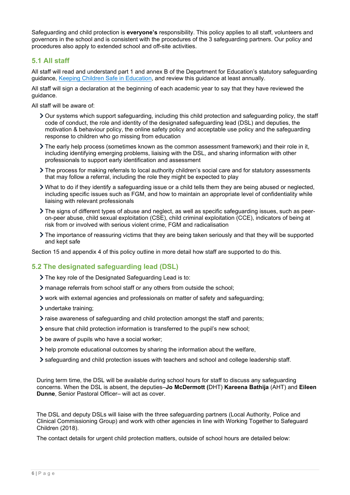Safeguarding and child protection is **everyone's** responsibility. This policy applies to all staff, volunteers and governors in the school and is consistent with the procedures of the 3 safeguarding partners. Our policy and procedures also apply to extended school and off-site activities.

# **5.1 All staff**

All staff will read and understand part 1 and annex B of the Department for Education's statutory safeguarding guidance, [Keeping Children Safe in Education,](https://www.gov.uk/government/publications/keeping-children-safe-in-education--2) and review this guidance at least annually.

All staff will sign a declaration at the beginning of each academic year to say that they have reviewed the guidance.

All staff will be aware of:

- Our systems which support safeguarding, including this child protection and safeguarding policy, the staff code of conduct, the role and identity of the designated safeguarding lead (DSL) and deputies, the motivation & behaviour policy, the online safety policy and acceptable use policy and the safeguarding response to children who go missing from education
- $\sum$  The early help process (sometimes known as the common assessment framework) and their role in it, including identifying emerging problems, liaising with the DSL, and sharing information with other professionals to support early identification and assessment
- The process for making referrals to local authority children's social care and for statutory assessments that may follow a referral, including the role they might be expected to play
- What to do if they identify a safeguarding issue or a child tells them they are being abused or neglected, including specific issues such as FGM, and how to maintain an appropriate level of confidentiality while liaising with relevant professionals
- The signs of different types of abuse and neglect, as well as specific safeguarding issues, such as peeron-peer abuse, child sexual exploitation (CSE), child criminal exploitation (CCE), indicators of being at risk from or involved with serious violent crime, FGM and radicalisation
- The importance of reassuring victims that they are being taken seriously and that they will be supported and kept safe

Section 15 and appendix 4 of this policy outline in more detail how staff are supported to do this.

## **5.2 The designated safeguarding lead (DSL)**

- The key role of the Designated Safeguarding Lead is to:
- manage referrals from school staff or any others from outside the school;
- work with external agencies and professionals on matter of safety and safeguarding;
- > undertake training;
- raise awareness of safeguarding and child protection amongst the staff and parents;
- ensure that child protection information is transferred to the pupil's new school;
- $\geq$  be aware of pupils who have a social worker;
- help promote educational outcomes by sharing the information about the welfare,
- safeguarding and child protection issues with teachers and school and college leadership staff.

During term time, the DSL will be available during school hours for staff to discuss any safeguarding concerns. When the DSL is absent, the deputies–**Jo McDermott (**DHT) **Kareena Bathija** (AHT) and **Eileen Dunne**, Senior Pastoral Officer– will act as cover.

 The DSL and deputy DSLs will liaise with the three safeguarding partners (Local Authority, Police and Clinical Commissioning Group) and work with other agencies in line with Working Together to Safeguard Children (2018).

The contact details for urgent child protection matters, outside of school hours are detailed below: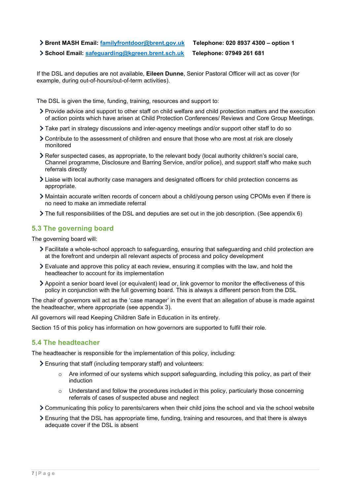- **Brent MASH Email: [familyfrontdoor@brent.gov.uk](mailto:familyfrontdoor@brent.gov.uk) Telephone: 020 8937 4300 – option 1**
- **School Email: [safeguarding@kgreen.brent.sch.uk](mailto:safeguarding@kgreen.brent.sch.uk) Telephone: 07949 261 681**

If the DSL and deputies are not available, **Eileen Dunne**, Senior Pastoral Officer will act as cover (for example, during out-of-hours/out-of-term activities).

The DSL is given the time, funding, training, resources and support to:

- Provide advice and support to other staff on child welfare and child protection matters and the execution of action points which have arisen at Child Protection Conferences/ Reviews and Core Group Meetings.
- Take part in strategy discussions and inter-agency meetings and/or support other staff to do so
- Contribute to the assessment of children and ensure that those who are most at risk are closely monitored
- Refer suspected cases, as appropriate, to the relevant body (local authority children's social care, Channel programme, Disclosure and Barring Service, and/or police), and support staff who make such referrals directly
- Liaise with local authority case managers and designated officers for child protection concerns as appropriate.
- Maintain accurate written records of concern about a child/young person using CPOMs even if there is no need to make an immediate referral
- The full responsibilities of the DSL and deputies are set out in the job description. (See appendix 6)

# **5.3 The governing board**

The governing board will:

- Facilitate a whole-school approach to safeguarding, ensuring that safeguarding and child protection are at the forefront and underpin all relevant aspects of process and policy development
- Evaluate and approve this policy at each review, ensuring it complies with the law, and hold the headteacher to account for its implementation
- Appoint a senior board level (or equivalent) lead or, link governor to monitor the effectiveness of this policy in conjunction with the full governing board. This is always a different person from the DSL

The chair of governors will act as the 'case manager' in the event that an allegation of abuse is made against the headteacher, where appropriate (see appendix 3).

All governors will read Keeping Children Safe in Education in its entirety.

Section 15 of this policy has information on how governors are supported to fulfil their role.

## **5.4 The headteacher**

The headteacher is responsible for the implementation of this policy, including:

- Ensuring that staff (including temporary staff) and volunteers:
	- $\circ$  Are informed of our systems which support safeguarding, including this policy, as part of their induction
	- $\circ$  Understand and follow the procedures included in this policy, particularly those concerning referrals of cases of suspected abuse and neglect
- Communicating this policy to parents/carers when their child joins the school and via the school website
- Ensuring that the DSL has appropriate time, funding, training and resources, and that there is always adequate cover if the DSL is absent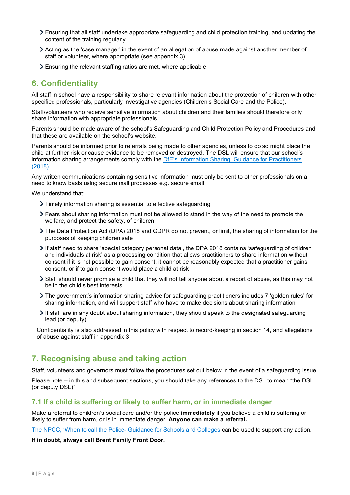- Ensuring that all staff undertake appropriate safeguarding and child protection training, and updating the content of the training regularly
- Acting as the 'case manager' in the event of an allegation of abuse made against another member of staff or volunteer, where appropriate (see appendix 3)
- Ensuring the relevant staffing ratios are met, where applicable

# <span id="page-7-0"></span>**6. Confidentiality**

All staff in school have a responsibility to share relevant information about the protection of children with other specified professionals, particularly investigative agencies (Children's Social Care and the Police).

Staff/volunteers who receive sensitive information about children and their families should therefore only share information with appropriate professionals.

Parents should be made aware of the school's Safeguarding and Child Protection Policy and Procedures and that these are available on the school's website.

Parents should be informed prior to referrals being made to other agencies, unless to do so might place the child at further risk or cause evidence to be removed or destroyed. The DSL will ensure that our school's information sharing arrangements comply with the DfE's Information Sharing: Guidance for Practitioners [\(2018\)](https://assets.publishing.service.gov.uk/government/uploads/system/uploads/attachment_data/file/721581/Information_sharing_advice_practitioners_safeguarding_services.pdf)

Any written communications containing sensitive information must only be sent to other professionals on a need to know basis using secure mail processes e.g. secure email.

We understand that:

- Timely information sharing is essential to effective safeguarding
- Fears about sharing information must not be allowed to stand in the way of the need to promote the welfare, and protect the safety, of children
- The Data Protection Act (DPA) 2018 and GDPR do not prevent, or limit, the sharing of information for the purposes of keeping children safe
- If staff need to share 'special category personal data', the DPA 2018 contains 'safeguarding of children and individuals at risk' as a processing condition that allows practitioners to share information without consent if it is not possible to gain consent, it cannot be reasonably expected that a practitioner gains consent, or if to gain consent would place a child at risk
- Staff should never promise a child that they will not tell anyone about a report of abuse, as this may not be in the child's best interests
- The government's [information sharing advice for safeguarding practitioners](https://www.gov.uk/government/publications/safeguarding-practitioners-information-sharing-advice) includes 7 'golden rules' for sharing information, and will support staff who have to make decisions about sharing information
- If staff are in any doubt about sharing information, they should speak to the designated safeguarding lead (or deputy)

Confidentiality is also addressed in this policy with respect to record-keeping in section 14, and allegations of abuse against staff in appendix 3

# <span id="page-7-1"></span>**7. Recognising abuse and taking action**

Staff, volunteers and governors must follow the procedures set out below in the event of a safeguarding issue.

Please note – in this and subsequent sections, you should take any references to the DSL to mean "the DSL (or deputy DSL)".

## **7.1 If a child is suffering or likely to suffer harm, or in immediate danger**

Make a referral to children's social care and/or the police **immediately** if you believe a child is suffering or likely to suffer from harm, or is in immediate danger. **Anyone can make a referral.**

[The NPCC, 'When to call the Police-](https://www.npcc.police.uk/documents/Children%20and%20Young%20people/When%20to%20call%20the%20police%20guidance%20for%20schools%20and%20colleges.pdf) Guidance for Schools and Colleges can be used to support any action.

### **If in doubt, always call Brent Family Front Door.**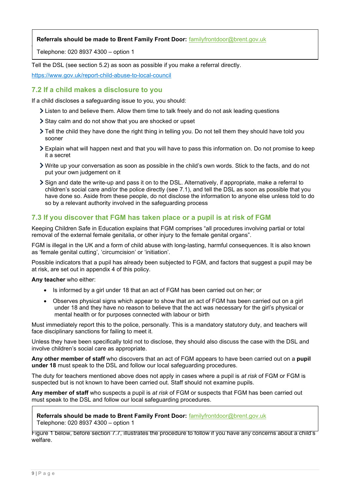# **Referrals should be made to Brent Family Front Door:** [familyfrontdoor@brent.gov.uk](mailto:familyfrontdoor@brent.gov.uk)  **Referrals should be made to Brent Family Front Door:** [familyfrontdoor@brent.gov.uk](mailto:familyfrontdoor@brent.gov.uk)

Telephone: 020 8937 4300 – option 1 Telephone: 020 8937 4300 – option 1

Tell the DSL (see section 5.2) as soon as possible if you make a referral directly.

<https://www.gov.uk/report-child-abuse-to-local-council>

## **7.2 If a child makes a disclosure to you**

If a child discloses a safeguarding issue to you, you should:

- Listen to and believe them. Allow them time to talk freely and do not ask leading questions
- Stay calm and do not show that you are shocked or upset
- Tell the child they have done the right thing in telling you. Do not tell them they should have told you sooner
- Explain what will happen next and that you will have to pass this information on. Do not promise to keep it a secret
- Write up your conversation as soon as possible in the child's own words. Stick to the facts, and do not put your own judgement on it
- Sign and date the write-up and pass it on to the DSL. Alternatively, if appropriate, make a referral to children's social care and/or the police directly (see 7.1), and tell the DSL as soon as possible that you have done so. Aside from these people, do not disclose the information to anyone else unless told to do so by a relevant authority involved in the safeguarding process

# **7.3 If you discover that FGM has taken place or a pupil is at risk of FGM**

Keeping Children Safe in Education explains that FGM comprises "all procedures involving partial or total removal of the external female genitalia, or other injury to the female genital organs".

FGM is illegal in the UK and a form of child abuse with long-lasting, harmful consequences. It is also known as 'female genital cutting', 'circumcision' or 'initiation'.

Possible indicators that a pupil has already been subjected to FGM, and factors that suggest a pupil may be at risk, are set out in appendix 4 of this policy.

**Any teacher** who either:

- Is informed by a girl under 18 that an act of FGM has been carried out on her; or
- Observes physical signs which appear to show that an act of FGM has been carried out on a girl under 18 and they have no reason to believe that the act was necessary for the girl's physical or mental health or for purposes connected with labour or birth

Must immediately report this to the police, personally. This is a mandatory statutory duty, and teachers will face disciplinary sanctions for failing to meet it.

Unless they have been specifically told not to disclose, they should also discuss the case with the DSL and involve children's social care as appropriate.

**Any other member of staff** who discovers that an act of FGM appears to have been carried out on a **pupil under 18** must speak to the DSL and follow our local safeguarding procedures.

The duty for teachers mentioned above does not apply in cases where a pupil is *at risk* of FGM or FGM is suspected but is not known to have been carried out. Staff should not examine pupils.

**Any member of staff** who suspects a pupil is *at risk* of FGM or suspects that FGM has been carried out must speak to the DSL and follow our local safeguarding procedures.

### **Referrals should be made to Brent Family Front Door:** familyfrontdoor@brent.gov.uk **l** Telephone: 020 8937 4300 – option 1

Figure 1 below, before section 7.7, illustrates the procedure to follow if you have any concerns about a child's welfare.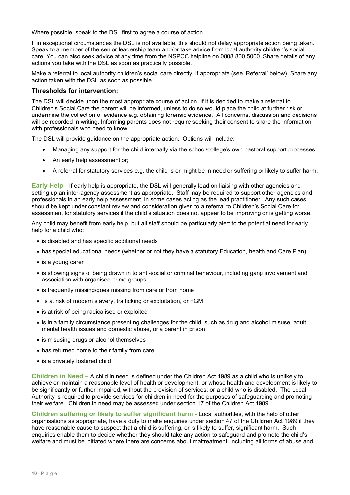Where possible, speak to the DSL first to agree a course of action.

If in exceptional circumstances the DSL is not available, this should not delay appropriate action being taken. Speak to a member of the senior leadership team and/or take advice from local authority children's social care. You can also seek advice at any time from the NSPCC helpline on 0808 800 5000. Share details of any actions you take with the DSL as soon as practically possible.

Make a referral to local authority children's social care directly, if appropriate (see 'Referral' below). Share any action taken with the DSL as soon as possible.

### **Thresholds for intervention:**

The DSL will decide upon the most appropriate course of action. If it is decided to make a referral to Children's Social Care the parent will be informed, unless to do so would place the child at further risk or undermine the collection of evidence e.g. obtaining forensic evidence. All concerns, discussion and decisions will be recorded in writing. Informing parents does not require seeking their consent to share the information with professionals who need to know.

The DSL will provide guidance on the appropriate action. Options will include:

- Managing any support for the child internally via the school/college's own pastoral support processes;
- An early help assessment or;
- A referral for statutory services e.g. the child is or might be in need or suffering or likely to suffer harm.

**Early Help** - If early help is appropriate, the DSL will generally lead on liaising with other agencies and setting up an inter-agency assessment as appropriate. Staff may be required to support other agencies and professionals in an early help assessment, in some cases acting as the lead practitioner. Any such cases should be kept under constant review and consideration given to a referral to Children's Social Care for assessment for statutory services if the child's situation does not appear to be improving or is getting worse.

Any child may benefit from early help, but all staff should be particularly alert to the potential need for early help for a child who:

- is disabled and has specific additional needs
- has special educational needs (whether or not they have a statutory Education, health and Care Plan)
- is a young carer
- is showing signs of being drawn in to anti-social or criminal behaviour, including gang involvement and association with organised crime groups
- is frequently missing/goes missing from care or from home
- is at risk of modern slavery, trafficking or exploitation, or FGM
- is at risk of being radicalised or exploited
- is in a family circumstance presenting challenges for the child, such as drug and alcohol misuse, adult mental health issues and domestic abuse, or a parent in prison
- is misusing drugs or alcohol themselves
- has returned home to their family from care
- is a privately fostered child

**Children in Need** – A child in need is defined under the Children Act 1989 as a child who is unlikely to achieve or maintain a reasonable level of health or development, or whose health and development is likely to be significantly or further impaired, without the provision of services; or a child who is disabled. The Local Authority is required to provide services for children in need for the purposes of safeguarding and promoting their welfare. Children in need may be assessed under section 17 of the Children Act 1989.

**Children suffering or likely to suffer significant harm -** Local authorities, with the help of other organisations as appropriate, have a duty to make enquiries under section 47 of the Children Act 1989 if they have reasonable cause to suspect that a child is suffering, or is likely to suffer, significant harm. Such enquiries enable them to decide whether they should take any action to safeguard and promote the child's welfare and must be initiated where there are concerns about maltreatment, including all forms of abuse and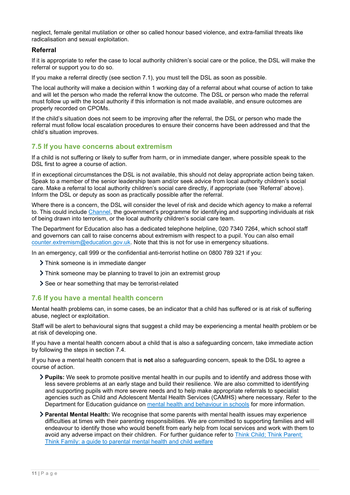neglect, female genital mutilation or other so called honour based violence, and extra-familial threats like radicalisation and sexual exploitation.

### **Referral**

If it is appropriate to refer the case to local authority children's social care or the police, the DSL will make the referral or support you to do so.

If you make a referral directly (see section 7.1), you must tell the DSL as soon as possible.

The local authority will make a decision within 1 working day of a referral about what course of action to take and will let the person who made the referral know the outcome. The DSL or person who made the referral must follow up with the local authority if this information is not made available, and ensure outcomes are properly recorded on CPOMs.

If the child's situation does not seem to be improving after the referral, the DSL or person who made the referral must follow local escalation procedures to ensure their concerns have been addressed and that the child's situation improves.

# **7.5 If you have concerns about extremism**

If a child is not suffering or likely to suffer from harm, or in immediate danger, where possible speak to the DSL first to agree a course of action.

If in exceptional circumstances the DSL is not available, this should not delay appropriate action being taken. Speak to a member of the senior leadership team and/or seek advice from local authority children's social care. Make a referral to local authority children's social care directly, if appropriate (see 'Referral' above). Inform the DSL or deputy as soon as practically possible after the referral.

Where there is a concern, the DSL will consider the level of risk and decide which agency to make a referral to. This could include [Channel,](https://www.gov.uk/government/publications/channel-guidance) the government's programme for identifying and supporting individuals at risk of being drawn into terrorism, or the local authority children's social care team.

The Department for Education also has a dedicated telephone helpline, 020 7340 7264, which school staff and governors can call to raise concerns about extremism with respect to a pupil. You can also email [counter.extremism@education.gov.uk.](mailto:counter.extremism@education.gov.uk) Note that this is not for use in emergency situations.

In an emergency, call 999 or the confidential anti-terrorist hotline on 0800 789 321 if you:

- > Think someone is in immediate danger
- Think someone may be planning to travel to join an extremist group
- See or hear something that may be terrorist-related

## **7.6 If you have a mental health concern**

Mental health problems can, in some cases, be an indicator that a child has suffered or is at risk of suffering abuse, neglect or exploitation.

Staff will be alert to behavioural signs that suggest a child may be experiencing a mental health problem or be at risk of developing one.

If you have a mental health concern about a child that is also a safeguarding concern, take immediate action by following the steps in section 7.4.

If you have a mental health concern that is **not** also a safeguarding concern, speak to the DSL to agree a course of action.

- **Pupils:** We seek to promote positive mental health in our pupils and to identify and address those with less severe problems at an early stage and build their resilience. We are also committed to identifying and supporting pupils with more severe needs and to help make appropriate referrals to specialist agencies such as Child and Adolescent Mental Health Services (CAMHS) where necessary. Refer to the Department for Education guidance on [mental health and behaviour in schools](https://www.gov.uk/government/publications/mental-health-and-behaviour-in-schools--2) for more information.
- **Parental Mental Health:** We recognise that some parents with mental health issues may experience difficulties at times with their parenting responsibilities. We are committed to supporting families and will endeavour to identify those who would benefit from early help from local services and work with them to avoid any adverse impact on their children. For further guidance refer to [Think Child; Think Parent;](https://www.scie.org.uk/publications/guides/guide30/)  [Think Family: a guide to parental mental health and child welfare](https://www.scie.org.uk/publications/guides/guide30/)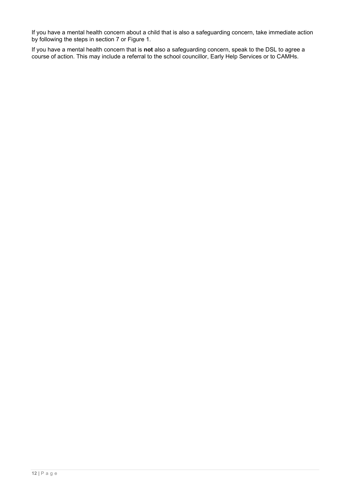If you have a mental health concern about a child that is also a safeguarding concern, take immediate action by following the steps in section 7 or Figure 1.

If you have a mental health concern that is **not** also a safeguarding concern, speak to the DSL to agree a course of action. This may include a referral to the school councillor, Early Help Services or to CAMHs.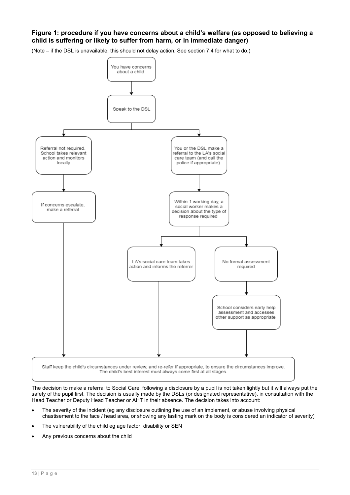## **Figure 1: procedure if you have concerns about a child's welfare (as opposed to believing a child is suffering or likely to suffer from harm, or in immediate danger)**

(Note – if the DSL is unavailable, this should not delay action. See section 7.4 for what to do.)



The decision to make a referral to Social Care, following a disclosure by a pupil is not taken lightly but it will always put the safety of the pupil first. The decision is usually made by the DSLs (or designated representative), in consultation with the Head Teacher or Deputy Head Teacher or AHT in their absence. The decision takes into account:

- The severity of the incident (eg any disclosure outlining the use of an implement, or abuse involving physical chastisement to the face / head area, or showing any lasting mark on the body is considered an indicator of severity)
- The vulnerability of the child eg age factor, disability or SEN
- Any previous concerns about the child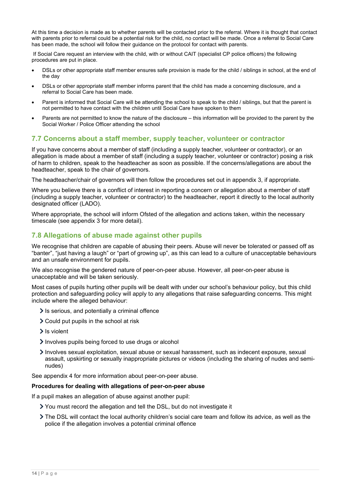At this time a decision is made as to whether parents will be contacted prior to the referral. Where it is thought that contact with parents prior to referral could be a potential risk for the child, no contact will be made. Once a referral to Social Care has been made, the school will follow their guidance on the protocol for contact with parents.

If Social Care request an interview with the child, with or without CAIT (specialist CP police officers) the following procedures are put in place.

- DSLs or other appropriate staff member ensures safe provision is made for the child / siblings in school, at the end of the day
- DSLs or other appropriate staff member informs parent that the child has made a concerning disclosure, and a referral to Social Care has been made.
- Parent is informed that Social Care will be attending the school to speak to the child / siblings, but that the parent is not permitted to have contact with the children until Social Care have spoken to them
- Parents are not permitted to know the nature of the disclosure this information will be provided to the parent by the Social Worker / Police Officer attending the school

## **7.7 Concerns about a staff member, supply teacher, volunteer or contractor**

If you have concerns about a member of staff (including a supply teacher, volunteer or contractor), or an allegation is made about a member of staff (including a supply teacher, volunteer or contractor) posing a risk of harm to children, speak to the headteacher as soon as possible. If the concerns/allegations are about the headteacher, speak to the chair of governors.

The headteacher/chair of governors will then follow the procedures set out in appendix 3, if appropriate.

Where you believe there is a conflict of interest in reporting a concern or allegation about a member of staff (including a supply teacher, volunteer or contractor) to the headteacher, report it directly to the local authority designated officer (LADO).

Where appropriate, the school will inform Ofsted of the allegation and actions taken, within the necessary timescale (see appendix 3 for more detail).

# **7.8 Allegations of abuse made against other pupils**

We recognise that children are capable of abusing their peers. Abuse will never be tolerated or passed off as "banter", "just having a laugh" or "part of growing up", as this can lead to a culture of unacceptable behaviours and an unsafe environment for pupils.

We also recognise the gendered nature of peer-on-peer abuse. However, all peer-on-peer abuse is unacceptable and will be taken seriously.

Most cases of pupils hurting other pupils will be dealt with under our school's behaviour policy, but this child protection and safeguarding policy will apply to any allegations that raise safeguarding concerns. This might include where the alleged behaviour:

- $\ge$  Is serious, and potentially a criminal offence
- Could put pupils in the school at risk
- $\geq$  Is violent
- Involves pupils being forced to use drugs or alcohol
- Involves sexual exploitation, sexual abuse or sexual harassment, such as indecent exposure, sexual assault, upskirting or sexually inappropriate pictures or videos (including the sharing of nudes and seminudes)

See appendix 4 for more information about peer-on-peer abuse.

#### **Procedures for dealing with allegations of peer-on-peer abuse**

If a pupil makes an allegation of abuse against another pupil:

- You must record the allegation and tell the DSL, but do not investigate it
- The DSL will contact the local authority children's social care team and follow its advice, as well as the police if the allegation involves a potential criminal offence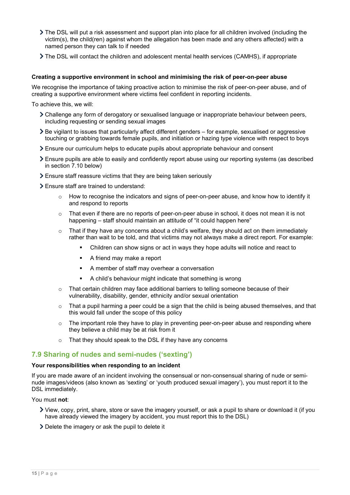- The DSL will put a risk assessment and support plan into place for all children involved (including the victim(s), the child(ren) against whom the allegation has been made and any others affected) with a named person they can talk to if needed
- The DSL will contact the children and adolescent mental health services (CAMHS), if appropriate

#### **Creating a supportive environment in school and minimising the risk of peer-on-peer abuse**

We recognise the importance of taking proactive action to minimise the risk of peer-on-peer abuse, and of creating a supportive environment where victims feel confident in reporting incidents.

To achieve this, we will:

- Challenge any form of derogatory or sexualised language or inappropriate behaviour between peers, including requesting or sending sexual images
- Be vigilant to issues that particularly affect different genders for example, sexualised or aggressive touching or grabbing towards female pupils, and initiation or hazing type violence with respect to boys
- Ensure our curriculum helps to educate pupils about appropriate behaviour and consent
- Ensure pupils are able to easily and confidently report abuse using our reporting systems (as described in section 7.10 below)
- Ensure staff reassure victims that they are being taken seriously
- Ensure staff are trained to understand:
	- $\circ$  How to recognise the indicators and signs of peer-on-peer abuse, and know how to identify it and respond to reports
	- $\circ$  That even if there are no reports of peer-on-peer abuse in school, it does not mean it is not happening – staff should maintain an attitude of "it could happen here"
	- $\circ$  That if they have any concerns about a child's welfare, they should act on them immediately rather than wait to be told, and that victims may not always make a direct report. For example:
		- Children can show signs or act in ways they hope adults will notice and react to
		- A friend may make a report
		- A member of staff may overhear a conversation
		- A child's behaviour might indicate that something is wrong
	- $\circ$  That certain children may face additional barriers to telling someone because of their vulnerability, disability, gender, ethnicity and/or sexual orientation
	- $\circ$  That a pupil harming a peer could be a sign that the child is being abused themselves, and that this would fall under the scope of this policy
	- o The important role they have to play in preventing peer-on-peer abuse and responding where they believe a child may be at risk from it
	- o That they should speak to the DSL if they have any concerns

# **7.9 Sharing of nudes and semi-nudes ('sexting')**

### **Your responsibilities when responding to an incident**

If you are made aware of an incident involving the consensual or non-consensual sharing of nude or seminude images/videos (also known as 'sexting' or 'youth produced sexual imagery'), you must report it to the DSL immediately.

#### You must **not**:

- View, copy, print, share, store or save the imagery yourself, or ask a pupil to share or download it (if you have already viewed the imagery by accident, you must report this to the DSL)
- Delete the imagery or ask the pupil to delete it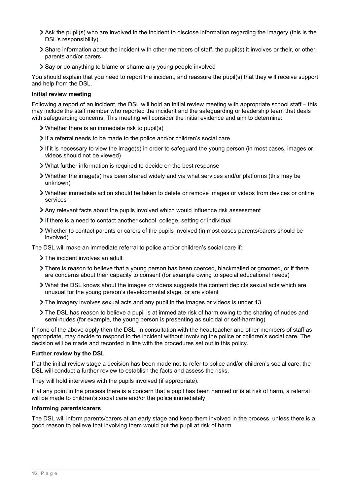- Ask the pupil(s) who are involved in the incident to disclose information regarding the imagery (this is the DSL's responsibility)
- Share information about the incident with other members of staff, the pupil(s) it involves or their, or other, parents and/or carers
- Say or do anything to blame or shame any young people involved

You should explain that you need to report the incident, and reassure the pupil(s) that they will receive support and help from the DSL.

### **Initial review meeting**

Following a report of an incident, the DSL will hold an initial review meeting with appropriate school staff – this may include the staff member who reported the incident and the safeguarding or leadership team that deals with safeguarding concerns. This meeting will consider the initial evidence and aim to determine:

- Whether there is an immediate risk to pupil(s)
- If a referral needs to be made to the police and/or children's social care
- $\triangleright$  If it is necessary to view the image(s) in order to safeguard the young person (in most cases, images or videos should not be viewed)
- What further information is required to decide on the best response
- Whether the image(s) has been shared widely and via what services and/or platforms (this may be unknown)
- Whether immediate action should be taken to delete or remove images or videos from devices or online services
- Any relevant facts about the pupils involved which would influence risk assessment
- If there is a need to contact another school, college, setting or individual
- Whether to contact parents or carers of the pupils involved (in most cases parents/carers should be involved)

The DSL will make an immediate referral to police and/or children's social care if:

- > The incident involves an adult
- There is reason to believe that a young person has been coerced, blackmailed or groomed, or if there are concerns about their capacity to consent (for example owing to special educational needs)
- What the DSL knows about the images or videos suggests the content depicts sexual acts which are unusual for the young person's developmental stage, or are violent
- The imagery involves sexual acts and any pupil in the images or videos is under 13
- The DSL has reason to believe a pupil is at immediate risk of harm owing to the sharing of nudes and semi-nudes (for example, the young person is presenting as suicidal or self-harming)

If none of the above apply then the DSL, in consultation with the headteacher and other members of staff as appropriate, may decide to respond to the incident without involving the police or children's social care. The decision will be made and recorded in line with the procedures set out in this policy.

#### **Further review by the DSL**

If at the initial review stage a decision has been made not to refer to police and/or children's social care, the DSL will conduct a further review to establish the facts and assess the risks.

They will hold interviews with the pupils involved (if appropriate).

If at any point in the process there is a concern that a pupil has been harmed or is at risk of harm, a referral will be made to children's social care and/or the police immediately.

### **Informing parents/carers**

The DSL will inform parents/carers at an early stage and keep them involved in the process, unless there is a good reason to believe that involving them would put the pupil at risk of harm.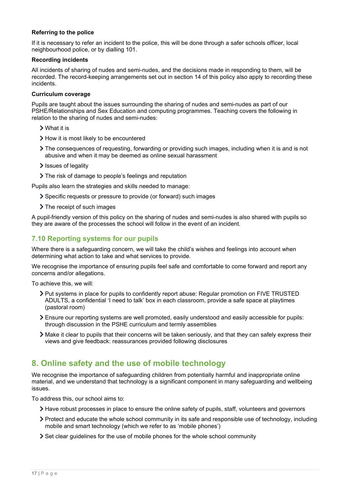### **Referring to the police**

If it is necessary to refer an incident to the police, this will be done through a safer schools officer, local neighbourhood police, or by dialling 101.

### **Recording incidents**

All incidents of sharing of nudes and semi-nudes, and the decisions made in responding to them, will be recorded. The record-keeping arrangements set out in section 14 of this policy also apply to recording these incidents.

#### **Curriculum coverage**

Pupils are taught about the issues surrounding the sharing of nudes and semi-nudes as part of our PSHE/Relationships and Sex Education and computing programmes. Teaching covers the following in relation to the sharing of nudes and semi-nudes:

- What it is
- > How it is most likely to be encountered
- The consequences of requesting, forwarding or providing such images, including when it is and is not abusive and when it may be deemed as online sexual harassment
- > Issues of legality
- The risk of damage to people's feelings and reputation

Pupils also learn the strategies and skills needed to manage:

- Specific requests or pressure to provide (or forward) such images
- > The receipt of such images

A pupil-friendly version of this policy on the sharing of nudes and semi-nudes is also shared with pupils so they are aware of the processes the school will follow in the event of an incident.

# **7.10 Reporting systems for our pupils**

Where there is a safeguarding concern, we will take the child's wishes and feelings into account when determining what action to take and what services to provide.

We recognise the importance of ensuring pupils feel safe and comfortable to come forward and report any concerns and/or allegations.

To achieve this, we will:

- Put systems in place for pupils to confidently report abuse: Regular promotion on FIVE TRUSTED ADULTS, a confidential 'I need to talk' box in each classroom, provide a safe space at playtimes (pastoral room)
- Ensure our reporting systems are well promoted, easily understood and easily accessible for pupils: through discussion in the PSHE curriculum and termly assemblies
- Make it clear to pupils that their concerns will be taken seriously, and that they can safely express their views and give feedback: reassurances provided following disclosures

# <span id="page-16-0"></span>**8. Online safety and the use of mobile technology**

We recognise the importance of safeguarding children from potentially harmful and inappropriate online material, and we understand that technology is a significant component in many safeguarding and wellbeing issues.

To address this, our school aims to:

- Have robust processes in place to ensure the online safety of pupils, staff, volunteers and governors
- Protect and educate the whole school community in its safe and responsible use of technology, including mobile and smart technology (which we refer to as 'mobile phones')
- $\geq$  Set clear guidelines for the use of mobile phones for the whole school community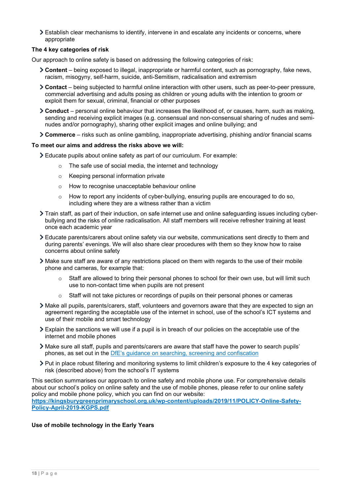Establish clear mechanisms to identify, intervene in and escalate any incidents or concerns, where appropriate

### **The 4 key categories of risk**

Our approach to online safety is based on addressing the following categories of risk:

- **Content** being exposed to illegal, inappropriate or harmful content, such as pornography, fake news, racism, misogyny, self-harm, suicide, anti-Semitism, radicalisation and extremism
- **Contact** being subjected to harmful online interaction with other users, such as peer-to-peer pressure, commercial advertising and adults posing as children or young adults with the intention to groom or exploit them for sexual, criminal, financial or other purposes
- **Conduct** personal online behaviour that increases the likelihood of, or causes, harm, such as making, sending and receiving explicit images (e.g. consensual and non-consensual sharing of nudes and seminudes and/or pornography), sharing other explicit images and online bullying; and
- **Commerce** risks such as online gambling, inappropriate advertising, phishing and/or financial scams

#### **To meet our aims and address the risks above we will:**

- Educate pupils about online safety as part of our curriculum. For example:
	- o The safe use of social media, the internet and technology
	- o Keeping personal information private
	- o How to recognise unacceptable behaviour online
	- $\circ$  How to report any incidents of cyber-bullying, ensuring pupils are encouraged to do so, including where they are a witness rather than a victim
- Train staff, as part of their induction, on safe internet use and online safeguarding issues including cyberbullying and the risks of online radicalisation. All staff members will receive refresher training at least once each academic year
- Educate parents/carers about online safety via our website, communications sent directly to them and during parents' evenings. We will also share clear procedures with them so they know how to raise concerns about online safety
- Make sure staff are aware of any restrictions placed on them with regards to the use of their mobile phone and cameras, for example that:
	- o Staff are allowed to bring their personal phones to school for their own use, but will limit such use to non-contact time when pupils are not present
	- $\circ$  Staff will not take pictures or recordings of pupils on their personal phones or cameras
- Make all pupils, parents/carers, staff, volunteers and governors aware that they are expected to sign an agreement regarding the acceptable use of the internet in school, use of the school's ICT systems and use of their mobile and smart technology
- Explain the sanctions we will use if a pupil is in breach of our policies on the acceptable use of the internet and mobile phones
- Make sure all staff, pupils and parents/carers are aware that staff have the power to search pupils' phones, as set out in the [DfE's guidance on searching, screening and confiscation](https://www.gov.uk/government/publications/searching-screening-and-confiscation)
- Put in place robust filtering and monitoring systems to limit children's exposure to the 4 key categories of risk (described above) from the school's IT systems

This section summarises our approach to online safety and mobile phone use. For comprehensive details about our school's policy on online safety and the use of mobile phones, please refer to our online safety policy and mobile phone policy, which you can find on our website: **[https://kingsburygreenprimaryschool.org.uk/wp-content/uploads/2019/11/POLICY-Online-Safety-](https://kingsburygreenprimaryschool.org.uk/wp-content/uploads/2019/11/POLICY-Online-Safety-Policy-April-2019-KGPS.pdf)[Policy-April-2019-KGPS.pdf](https://kingsburygreenprimaryschool.org.uk/wp-content/uploads/2019/11/POLICY-Online-Safety-Policy-April-2019-KGPS.pdf)**

### **Use of mobile technology in the Early Years**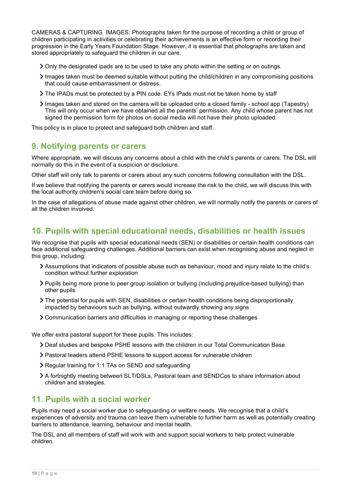CAMERAS & CAPTURING IMAGES: Photographs taken for the purpose of recording a child or group of children participating in activities or celebrating their achievements is an effective form or recording their progression in the Early Years Foundation Stage. However, it is essential that photographs are taken and stored appropriately to safeguard the children in our care.

- Only the designated ipads are to be used to take any photo within the setting or on outings.
- Images taken must be deemed suitable without putting the child/children in any compromising positions that could cause embarrassment or distress.
- The IPADs must be protected by a PIN code. EYs IPads must not be taken home by staff
- Images taken and stored on the camera will be uploaded onto a closed family school app (Tapestry) This will only occur when we have obtained all the parents' permission. Any child whose parent has not signed the permission form for photos on social media will not have their photo uploaded.

This policy is in place to protect and safeguard both children and staff.

# <span id="page-18-0"></span>**9. Notifying parents or carers**

Where appropriate, we will discuss any concerns about a child with the child's parents or carers. The DSL will normally do this in the event of a suspicion or disclosure.

Other staff will only talk to parents or carers about any such concerns following consultation with the DSL.

If we believe that notifying the parents or carers would increase the risk to the child, we will discuss this with the local authority children's social care team before doing so.

In the case of allegations of abuse made against other children, we will normally notify the parents or carers of all the children involved.

# <span id="page-18-1"></span>**10. Pupils with special educational needs, disabilities or health issues**

We recognise that pupils with special educational needs (SEN) or disabilities or certain health conditions can face additional safeguarding challenges. Additional barriers can exist when recognising abuse and neglect in this group, including:

- Assumptions that indicators of possible abuse such as behaviour, mood and injury relate to the child's condition without further exploration
- Pupils being more prone to peer group isolation or bullying (including prejudice-based bullying) than other pupils
- The potential for pupils with SEN, disabilities or certain health conditions being disproportionally impacted by behaviours such as bullying, without outwardly showing any signs
- Communication barriers and difficulties in managing or reporting these challenges

We offer extra pastoral support for these pupils. This includes:

- Deaf studies and bespoke PSHE lessons with the children in our Total Communication Base
- Pastoral leaders attend PSHE lessons to support access for vulnerable children
- Regular training for 1:1 TAs on SEND and safeguarding
- A fortnightly meeting between SLT/DSLs, Pastoral team and SENDCos to share information about children and strategies.

# <span id="page-18-2"></span>**11. Pupils with a social worker**

Pupils may need a social worker due to safeguarding or welfare needs. We recognise that a child's experiences of adversity and trauma can leave them vulnerable to further harm as well as potentially creating barriers to attendance, learning, behaviour and mental health.

The DSL and all members of staff will work with and support social workers to help protect vulnerable children.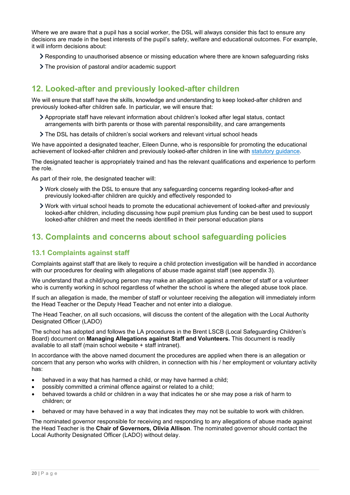Where we are aware that a pupil has a social worker, the DSL will always consider this fact to ensure any decisions are made in the best interests of the pupil's safety, welfare and educational outcomes. For example, it will inform decisions about:

- Responding to unauthorised absence or missing education where there are known safeguarding risks
- The provision of pastoral and/or academic support

# <span id="page-19-0"></span>**12. Looked-after and previously looked-after children**

We will ensure that staff have the skills, knowledge and understanding to keep looked-after children and previously looked-after children safe. In particular, we will ensure that:

- Appropriate staff have relevant information about children's looked after legal status, contact arrangements with birth parents or those with parental responsibility, and care arrangements
- The DSL has details of children's social workers and relevant virtual school heads

We have appointed a designated teacher, Eileen Dunne, who is responsible for promoting the educational achievement of looked-after children and previously looked-after children in line with [statutory guidance.](https://www.gov.uk/government/publications/designated-teacher-for-looked-after-children)

The designated teacher is appropriately trained and has the relevant qualifications and experience to perform the role.

As part of their role, the designated teacher will:

- Work closely with the DSL to ensure that any safeguarding concerns regarding looked-after and previously looked-after children are quickly and effectively responded to
- Work with virtual school heads to promote the educational achievement of looked-after and previously looked-after children, including discussing how pupil premium plus funding can be best used to support looked-after children and meet the needs identified in their personal education plans

# <span id="page-19-1"></span>**13. Complaints and concerns about school safeguarding policies**

# **13.1 Complaints against staff**

Complaints against staff that are likely to require a child protection investigation will be handled in accordance with our procedures for dealing with allegations of abuse made against staff (see appendix 3).

We understand that a child/young person may make an allegation against a member of staff or a volunteer who is currently working in school regardless of whether the school is where the alleged abuse took place.

If such an allegation is made, the member of staff or volunteer receiving the allegation will immediately inform the Head Teacher or the Deputy Head Teacher and not enter into a dialogue.

The Head Teacher, on all such occasions, will discuss the content of the allegation with the Local Authority Designated Officer (LADO)

The school has adopted and follows the LA procedures in the Brent LSCB (Local Safeguarding Children's Board) document on **Managing Allegations against Staff and Volunteers.** This document is readily available to all staff (main school website + staff intranet).

In accordance with the above named document the procedures are applied when there is an allegation or concern that any person who works with children, in connection with his / her employment or voluntary activity has:

- behaved in a way that has harmed a child, or may have harmed a child;
- possibly committed a criminal offence against or related to a child;
- behaved towards a child or children in a way that indicates he or she may pose a risk of harm to children; or
- behaved or may have behaved in a way that indicates they may not be suitable to work with children.

The nominated governor responsible for receiving and responding to any allegations of abuse made against the Head Teacher is the **Chair of Governors, Olivia Allison**. The nominated governor should contact the Local Authority Designated Officer (LADO) without delay.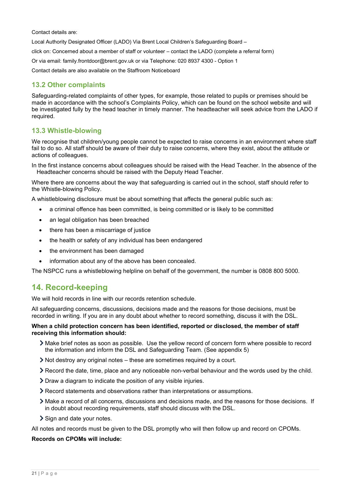Contact details are:

Local Authority Designated Officer (LADO) Via Brent Local Children's Safeguarding Board –

click on: Concerned about a member of staff or volunteer – contact the LADO (complete a referral form)

Or via email: family.frontdoor@brent.gov.uk or via Telephone: 020 8937 4300 - Option 1

Contact details are also available on the Staffroom Noticeboard

# **13.2 Other complaints**

Safeguarding-related complaints of other types, for example, those related to pupils or premises should be made in accordance with the school's Complaints Policy, which can be found on the school website and will be investigated fully by the head teacher in timely manner. The headteacher will seek advice from the LADO if required.

## **13.3 Whistle-blowing**

We recognise that children/young people cannot be expected to raise concerns in an environment where staff fail to do so. All staff should be aware of their duty to raise concerns, where they exist, about the attitude or actions of colleagues.

In the first instance concerns about colleagues should be raised with the Head Teacher. In the absence of the Headteacher concerns should be raised with the Deputy Head Teacher.

Where there are concerns about the way that safeguarding is carried out in the school, staff should refer to the Whistle-blowing Policy.

A whistleblowing disclosure must be about something that affects the general public such as:

- a criminal offence has been committed, is being committed or is likely to be committed
- an legal obligation has been breached
- there has been a miscarriage of justice
- the health or safety of any individual has been endangered
- the environment has been damaged
- information about any of the above has been concealed.

The NSPCC runs a whistleblowing helpline on behalf of the government, the number is 0808 800 5000.

# <span id="page-20-0"></span>**14. Record-keeping**

We will hold records in line with our records retention schedule.

All safeguarding concerns, discussions, decisions made and the reasons for those decisions, must be recorded in writing. If you are in any doubt about whether to record something, discuss it with the DSL.

#### **When a child protection concern has been identified, reported or disclosed, the member of staff receiving this information should:**

- Make brief notes as soon as possible. Use the yellow record of concern form where possible to record the information and inform the DSL and Safeguarding Team. (See appendix 5)
- Not destroy any original notes these are sometimes required by a court.
- Record the date, time, place and any noticeable non-verbal behaviour and the words used by the child.
- Draw a diagram to indicate the position of any visible injuries.
- Record statements and observations rather than interpretations or assumptions.
- Make a record of all concerns, discussions and decisions made, and the reasons for those decisions. If in doubt about recording requirements, staff should discuss with the DSL.
- Sign and date your notes.

All notes and records must be given to the DSL promptly who will then follow up and record on CPOMs.

#### **Records on CPOMs will include:**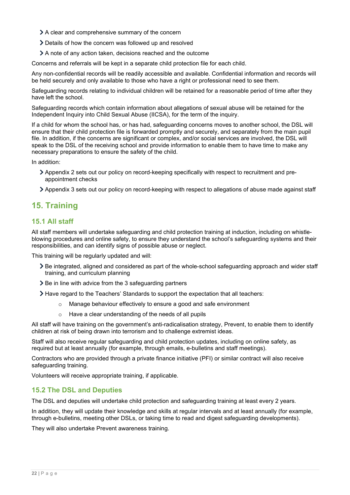- A clear and comprehensive summary of the concern
- Details of how the concern was followed up and resolved
- A note of any action taken, decisions reached and the outcome

Concerns and referrals will be kept in a separate child protection file for each child.

Any non-confidential records will be readily accessible and available. Confidential information and records will be held securely and only available to those who have a right or professional need to see them.

Safeguarding records relating to individual children will be retained for a reasonable period of time after they have left the school.

Safeguarding records which contain information about allegations of sexual abuse will be retained for the Independent Inquiry into Child Sexual Abuse (IICSA), for the term of the inquiry.

If a child for whom the school has, or has had, safeguarding concerns moves to another school, the DSL will ensure that their child protection file is forwarded promptly and securely, and separately from the main pupil file. In addition, if the concerns are significant or complex, and/or social services are involved, the DSL will speak to the DSL of the receiving school and provide information to enable them to have time to make any necessary preparations to ensure the safety of the child.

In addition:

- Appendix 2 sets out our policy on record-keeping specifically with respect to recruitment and preappointment checks
- Appendix 3 sets out our policy on record-keeping with respect to allegations of abuse made against staff

# <span id="page-21-0"></span>**15. Training**

## **15.1 All staff**

All staff members will undertake safeguarding and child protection training at induction, including on whistleblowing procedures and online safety, to ensure they understand the school's safeguarding systems and their responsibilities, and can identify signs of possible abuse or neglect.

This training will be regularly updated and will:

- Be integrated, aligned and considered as part of the whole-school safeguarding approach and wider staff training, and curriculum planning
- $\geq$  Be in line with advice from the 3 safeguarding partners
- Have regard to the Teachers' Standards to support the expectation that all teachers:
	- o Manage behaviour effectively to ensure a good and safe environment
	- o Have a clear understanding of the needs of all pupils

All staff will have training on the government's anti-radicalisation strategy, Prevent, to enable them to identify children at risk of being drawn into terrorism and to challenge extremist ideas.

Staff will also receive regular safeguarding and child protection updates, including on online safety, as required but at least annually (for example, through emails, e-bulletins and staff meetings).

Contractors who are provided through a private finance initiative (PFI) or similar contract will also receive safeguarding training.

Volunteers will receive appropriate training, if applicable.

## **15.2 The DSL and Deputies**

The DSL and deputies will undertake child protection and safeguarding training at least every 2 years.

In addition, they will update their knowledge and skills at regular intervals and at least annually (for example, through e-bulletins, meeting other DSLs, or taking time to read and digest safeguarding developments).

They will also undertake Prevent awareness training.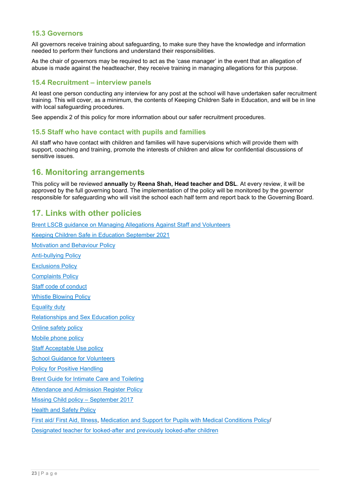### **15.3 Governors**

All governors receive training about safeguarding, to make sure they have the knowledge and information needed to perform their functions and understand their responsibilities.

As the chair of governors may be required to act as the 'case manager' in the event that an allegation of abuse is made against the headteacher, they receive training in managing allegations for this purpose.

### **15.4 Recruitment – interview panels**

At least one person conducting any interview for any post at the school will have undertaken safer recruitment training. This will cover, as a minimum, the contents of Keeping Children Safe in Education, and will be in line with local safeguarding procedures.

See appendix 2 of this policy for more information about our safer recruitment procedures.

### **15.5 Staff who have contact with pupils and families**

All staff who have contact with children and families will have supervisions which will provide them with support, coaching and training, promote the interests of children and allow for confidential discussions of sensitive issues.

# <span id="page-22-0"></span>**16. Monitoring arrangements**

This policy will be reviewed **annually** by **Reena Shah, Head teacher and DSL**. At every review, it will be approved by the full governing board. The implementation of the policy will be monitored by the governor responsible for safeguarding who will visit the school each half term and report back to the Governing Board.

# <span id="page-22-1"></span>**17. Links with other policies**

[Brent LSCB guidance on Managing Allegations Against Staff and Volunteers](https://kingsburygreenprimaryschool.org.uk/wp-content/uploads/2020/01/A-Guide-for-Professionals-and-volunteers-facing-an-allegation-of-abuse.pdf) [Keeping Children Safe in Education September 2021](https://assets.publishing.service.gov.uk/government/uploads/system/uploads/attachment_data/file/1014057/KCSIE_2021_September.pdf) [Motivation and Behaviour Policy](https://kingsburygreenprimaryschool.org.uk/wp-content/uploads/2019/09/KGPS-Motivation-and-Behaviour-Policy-draft-Oct-2018.pdf) [Anti-bullying Policy](https://kingsburygreenprimaryschool.org.uk/wp-content/uploads/2019/10/Anti-bullying_-Reasonable-Force_Exclusion-_BM-policy-appendicies_May-19.pdf) [Exclusions Policy](http://kingsburygreenprimaryschool.org.uk/wp-content/uploads/2021/08/Exclusions-Policy-Sept-21.pdf) [Complaints](https://kingsburygreenprimaryschool.org.uk/wp-content/uploads/2019/09/Complaints-Policy-March-2020.pdf) Policy [Staff code of conduct](https://kingsburygreenprimaryschool.org.uk/wp-content/uploads/2020/01/Code-of-Conduct-Final-November-2012-reviewed-Sept-2020.pdf) [Whistle Blowing Policy](https://kingsburygreenprimaryschool.org.uk/wp-content/uploads/2020/01/POLICY-Whistleblowing-Procedure-May-2016-BRENT.pdf) [Equality duty](https://kingsburygreenprimaryschool.org.uk/wp-content/uploads/2019/09/Equality-Information-and-Objectives-2019-23.pdf) [Relationships and Sex Education policy](https://kingsburygreenprimaryschool.org.uk/wp-content/uploads/2021/08/Relationships-and-Sex-Education-Policy-November-2020-.pdf) [Online safety policy](https://kingsburygreenprimaryschool.org.uk/wp-content/uploads/2019/11/POLICY-Online-Safety-Policy-April-2019-KGPS.pdf) [Mobile phone policy](http://kingsburygreenprimaryschool.org.uk/wp-content/uploads/2021/09/Mobile-Phone-Policy-September-21.pdf) [Staff Acceptable Use policy](http://kingsburygreenprimaryschool.org.uk/wp-content/uploads/2021/08/DIGITA1.pdf)  [School Guidance for Volunteers](https://kingsburygreenprimaryschool.org.uk/wp-content/uploads/2019/09/Volunteer-Policy_2019_0.pdf) [Policy for Positive Handling](http://kingsburygreenprimaryschool.org.uk/wp-content/uploads/2021/08/Positive-Handling-Policy-Sept-21.pdf) [Brent Guide for Intimate Care and Toileting](https://kingsburygreenprimaryschool.org.uk/wp-content/uploads/2019/09/Brent-Intimate-Care-and-Toileting-Guidance-for-schools.pdf) [Attendance and Admission Register Policy](https://kingsburygreenprimaryschool.org.uk/wp-content/uploads/2019/09/Attendance-Policy-Review-September-2018-1.pdf) [Missing Child policy –](http://kingsburygreenprimaryschool.org.uk/wp-content/uploads/2021/08/Missing-Child-Procedure-September-2021.pdf) September 2017 [Health and Safety Policy](https://kingsburygreenprimaryschool.org.uk/wp-content/uploads/2019/12/KGPS-Health-and-Safety-Policy-October-2020.pdf) [First aid/ First Aid, Illness,](https://kingsburygreenprimaryschool.org.uk/wp-content/uploads/2021/05/First-Aid-Policy-October-2020_updated-27.05.2021.pdf) [Medication and Support for Pupils with Medical Conditions Policy/](https://kingsburygreenprimaryschool.org.uk/wp-content/uploads/2020/11/Supporting-Pupils-with-a-Medical-Condition-October-2020.pdf) [Designated teacher for looked-after and previously looked-after children](https://kingsburygreenprimaryschool.org.uk/wp-content/uploads/2020/11/Designated-Teacher-for-looked-after-and-previously-looked-after-children-Policy_November-2020.pdf)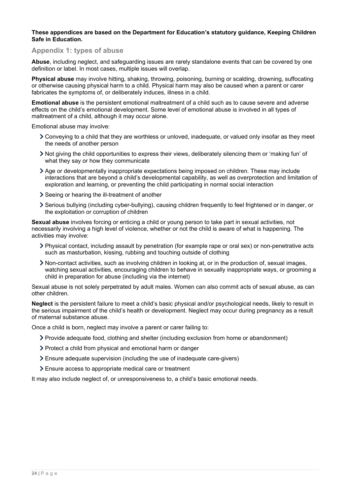#### **These appendices are based on the Department for Education's statutory guidance, Keeping Children Safe in Education.**

### <span id="page-23-0"></span>**Appendix 1: types of abuse**

**Abuse**, including neglect, and safeguarding issues are rarely standalone events that can be covered by one definition or label. In most cases, multiple issues will overlap.

**Physical abuse** may involve hitting, shaking, throwing, poisoning, burning or scalding, drowning, suffocating or otherwise causing physical harm to a child. Physical harm may also be caused when a parent or carer fabricates the symptoms of, or deliberately induces, illness in a child.

**Emotional abuse** is the persistent emotional maltreatment of a child such as to cause severe and adverse effects on the child's emotional development. Some level of emotional abuse is involved in all types of maltreatment of a child, although it may occur alone.

Emotional abuse may involve:

- Conveying to a child that they are worthless or unloved, inadequate, or valued only insofar as they meet the needs of another person
- Not giving the child opportunities to express their views, deliberately silencing them or 'making fun' of what they say or how they communicate
- Age or developmentally inappropriate expectations being imposed on children. These may include interactions that are beyond a child's developmental capability, as well as overprotection and limitation of exploration and learning, or preventing the child participating in normal social interaction
- Seeing or hearing the ill-treatment of another
- Serious bullying (including cyber-bullying), causing children frequently to feel frightened or in danger, or the exploitation or corruption of children

**Sexual abuse** involves forcing or enticing a child or young person to take part in sexual activities, not necessarily involving a high level of violence, whether or not the child is aware of what is happening. The activities may involve:

- Physical contact, including assault by penetration (for example rape or oral sex) or non-penetrative acts such as masturbation, kissing, rubbing and touching outside of clothing
- Non-contact activities, such as involving children in looking at, or in the production of, sexual images, watching sexual activities, encouraging children to behave in sexually inappropriate ways, or grooming a child in preparation for abuse (including via the internet)

Sexual abuse is not solely perpetrated by adult males. Women can also commit acts of sexual abuse, as can other children.

**Neglect** is the persistent failure to meet a child's basic physical and/or psychological needs, likely to result in the serious impairment of the child's health or development. Neglect may occur during pregnancy as a result of maternal substance abuse.

Once a child is born, neglect may involve a parent or carer failing to:

- Provide adequate food, clothing and shelter (including exclusion from home or abandonment)
- Protect a child from physical and emotional harm or danger
- Ensure adequate supervision (including the use of inadequate care-givers)
- Ensure access to appropriate medical care or treatment

It may also include neglect of, or unresponsiveness to, a child's basic emotional needs.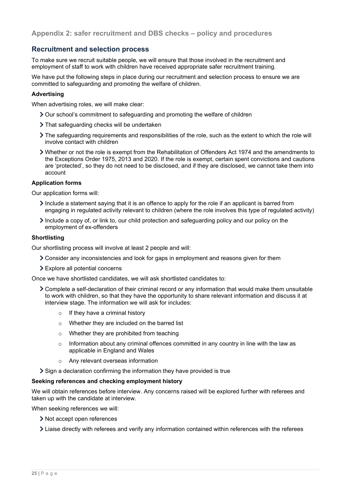## <span id="page-24-0"></span>**Recruitment and selection process**

To make sure we recruit suitable people, we will ensure that those involved in the recruitment and employment of staff to work with children have received appropriate safer recruitment training.

We have put the following steps in place during our recruitment and selection process to ensure we are committed to safeguarding and promoting the welfare of children.

### **Advertising**

When advertising roles, we will make clear:

- Our school's commitment to safeguarding and promoting the welfare of children
- > That safeguarding checks will be undertaken
- The safeguarding requirements and responsibilities of the role, such as the extent to which the role will involve contact with children
- Whether or not the role is exempt from the Rehabilitation of Offenders Act 1974 and the amendments to the Exceptions Order 1975, 2013 and 2020. If the role is exempt, certain spent convictions and cautions are 'protected', so they do not need to be disclosed, and if they are disclosed, we cannot take them into account

### **Application forms**

Our application forms will:

- Include a statement saying that it is an offence to apply for the role if an applicant is barred from engaging in regulated activity relevant to children (where the role involves this type of regulated activity)
- Include a copy of, or link to, our child protection and safeguarding policy and our policy on the employment of ex-offenders

### **Shortlisting**

Our shortlisting process will involve at least 2 people and will:

- Consider any inconsistencies and look for gaps in employment and reasons given for them
- Explore all potential concerns

Once we have shortlisted candidates, we will ask shortlisted candidates to:

- Complete a self-declaration of their criminal record or any information that would make them unsuitable to work with children, so that they have the opportunity to share relevant information and discuss it at interview stage. The information we will ask for includes:
	- $\circ$  If they have a criminal history
	- o Whether they are included on the barred list
	- o Whether they are prohibited from teaching
	- o Information about any criminal offences committed in any country in line with the law as applicable in England and Wales
	- o Any relevant overseas information

Sign a declaration confirming the information they have provided is true

#### **Seeking references and checking employment history**

We will obtain references before interview. Any concerns raised will be explored further with referees and taken up with the candidate at interview.

When seeking references we will:

- > Not accept open references
- Liaise directly with referees and verify any information contained within references with the referees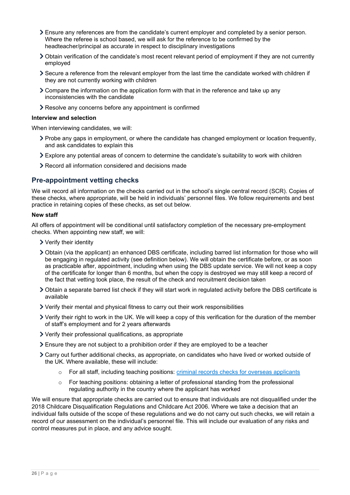- Ensure any references are from the candidate's current employer and completed by a senior person. Where the referee is school based, we will ask for the reference to be confirmed by the headteacher/principal as accurate in respect to disciplinary investigations
- Obtain verification of the candidate's most recent relevant period of employment if they are not currently employed
- Secure a reference from the relevant employer from the last time the candidate worked with children if they are not currently working with children
- Compare the information on the application form with that in the reference and take up any inconsistencies with the candidate
- Resolve any concerns before any appointment is confirmed

#### **Interview and selection**

When interviewing candidates, we will:

- Probe any gaps in employment, or where the candidate has changed employment or location frequently, and ask candidates to explain this
- Explore any potential areas of concern to determine the candidate's suitability to work with children
- Record all information considered and decisions made

# **Pre-appointment vetting checks**

We will record all information on the checks carried out in the school's single central record (SCR). Copies of these checks, where appropriate, will be held in individuals' personnel files. We follow requirements and best practice in retaining copies of these checks, as set out below.

### **New staff**

All offers of appointment will be conditional until satisfactory completion of the necessary pre-employment checks. When appointing new staff, we will:

- Verify their identity
- Obtain (via the applicant) an enhanced DBS certificate, including barred list information for those who will be engaging in regulated activity (see definition below). We will obtain the certificate before, or as soon as practicable after, appointment, including when using the DBS update service. We will not keep a copy of the certificate for longer than 6 months, but when the copy is destroyed we may still keep a record of the fact that vetting took place, the result of the check and recruitment decision taken
- Obtain a separate barred list check if they will start work in regulated activity before the DBS certificate is available
- Verify their mental and physical fitness to carry out their work responsibilities
- Verify their right to work in the UK. We will keep a copy of this verification for the duration of the member of staff's employment and for 2 years afterwards
- Verify their professional qualifications, as appropriate
- $\geq$  Ensure they are not subject to a prohibition order if they are employed to be a teacher
- Carry out further additional checks, as appropriate, on candidates who have lived or worked outside of the UK. Where available, these will include:
	- o For all staff, including teaching positions: [criminal records checks for overseas applicants](https://www.gov.uk/government/publications/criminal-records-checks-for-overseas-applicants)
	- $\circ$  For teaching positions: obtaining a letter of professional standing from the professional regulating authority in the country where the applicant has worked

We will ensure that appropriate checks are carried out to ensure that individuals are not disqualified under the 2018 Childcare Disqualification Regulations and Childcare Act 2006. Where we take a decision that an individual falls outside of the scope of these regulations and we do not carry out such checks, we will retain a record of our assessment on the individual's personnel file. This will include our evaluation of any risks and control measures put in place, and any advice sought.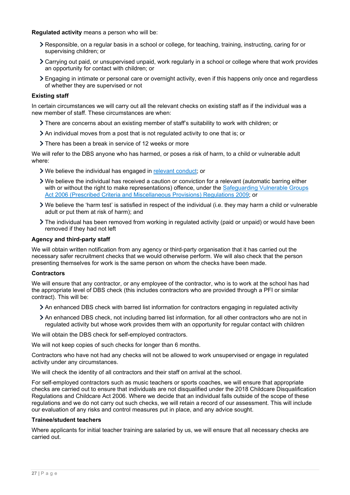### **Regulated activity** means a person who will be:

- Responsible, on a regular basis in a school or college, for teaching, training, instructing, caring for or supervising children; or
- Carrying out paid, or unsupervised unpaid, work regularly in a school or college where that work provides an opportunity for contact with children; or
- Engaging in intimate or personal care or overnight activity, even if this happens only once and regardless of whether they are supervised or not

### **Existing staff**

In certain circumstances we will carry out all the relevant checks on existing staff as if the individual was a new member of staff. These circumstances are when:

- There are concerns about an existing member of staff's suitability to work with children; or
- An individual moves from a post that is not regulated activity to one that is; or
- There has been a break in service of 12 weeks or more

We will refer to the DBS anyone who has harmed, or poses a risk of harm, to a child or vulnerable adult where:

- We believe the individual has engaged in [relevant conduct;](https://www.gov.uk/guidance/making-barring-referrals-to-the-dbs#relevant-conduct-in-relation-to-children) or
- We believe the individual has received a caution or conviction for a relevant (automatic barring either with or without the right to make representations) offence, under the Safeguarding Vulnerable Groups [Act 2006 \(Prescribed Criteria and Miscellaneous Provisions\) Regulations 2009;](http://www.legislation.gov.uk/uksi/2009/37/contents/made) or
- We believe the 'harm test' is satisfied in respect of the individual (i.e. they may harm a child or vulnerable adult or put them at risk of harm); and
- The individual has been removed from working in regulated activity (paid or unpaid) or would have been removed if they had not left

### **Agency and third-party staff**

We will obtain written notification from any agency or third-party organisation that it has carried out the necessary safer recruitment checks that we would otherwise perform. We will also check that the person presenting themselves for work is the same person on whom the checks have been made.

#### **Contractors**

We will ensure that any contractor, or any employee of the contractor, who is to work at the school has had the appropriate level of DBS check (this includes contractors who are provided through a PFI or similar contract). This will be:

- An enhanced DBS check with barred list information for contractors engaging in regulated activity
- An enhanced DBS check, not including barred list information, for all other contractors who are not in regulated activity but whose work provides them with an opportunity for regular contact with children

We will obtain the DBS check for self-employed contractors.

We will not keep copies of such checks for longer than 6 months.

Contractors who have not had any checks will not be allowed to work unsupervised or engage in regulated activity under any circumstances.

We will check the identity of all contractors and their staff on arrival at the school.

For self-employed contractors such as music teachers or sports coaches, we will ensure that appropriate checks are carried out to ensure that individuals are not disqualified under the 2018 Childcare Disqualification Regulations and Childcare Act 2006. Where we decide that an individual falls outside of the scope of these regulations and we do not carry out such checks, we will retain a record of our assessment. This will include our evaluation of any risks and control measures put in place, and any advice sought.

#### **Trainee/student teachers**

Where applicants for initial teacher training are salaried by us, we will ensure that all necessary checks are carried out.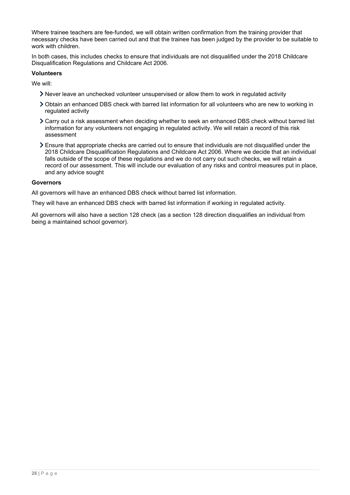Where trainee teachers are fee-funded, we will obtain written confirmation from the training provider that necessary checks have been carried out and that the trainee has been judged by the provider to be suitable to work with children.

In both cases, this includes checks to ensure that individuals are not disqualified under the 2018 Childcare Disqualification Regulations and Childcare Act 2006.

### **Volunteers**

We will:

- Never leave an unchecked volunteer unsupervised or allow them to work in regulated activity
- Obtain an enhanced DBS check with barred list information for all volunteers who are new to working in regulated activity
- Carry out a risk assessment when deciding whether to seek an enhanced DBS check without barred list information for any volunteers not engaging in regulated activity. We will retain a record of this risk assessment
- Ensure that appropriate checks are carried out to ensure that individuals are not disqualified under the 2018 Childcare Disqualification Regulations and Childcare Act 2006. Where we decide that an individual falls outside of the scope of these regulations and we do not carry out such checks, we will retain a record of our assessment. This will include our evaluation of any risks and control measures put in place, and any advice sought

#### **Governors**

All governors will have an enhanced DBS check without barred list information.

They will have an enhanced DBS check with barred list information if working in regulated activity.

All governors will also have a section 128 check (as a section 128 direction disqualifies an individual from being a maintained school governor).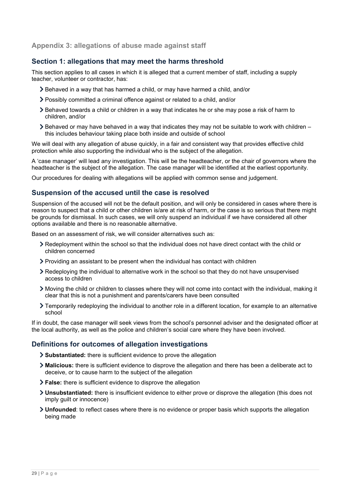## <span id="page-28-0"></span>**Appendix 3: allegations of abuse made against staff**

## **Section 1: allegations that may meet the harms threshold**

This section applies to all cases in which it is alleged that a current member of staff, including a supply teacher, volunteer or contractor, has:

- $\geq$  Behaved in a way that has harmed a child, or may have harmed a child, and/or
- Possibly committed a criminal offence against or related to a child, and/or
- Behaved towards a child or children in a way that indicates he or she may pose a risk of harm to children, and/or
- $\geq$  Behaved or may have behaved in a way that indicates they may not be suitable to work with children this includes behaviour taking place both inside and outside of school

We will deal with any allegation of abuse quickly, in a fair and consistent way that provides effective child protection while also supporting the individual who is the subject of the allegation.

A 'case manager' will lead any investigation. This will be the headteacher, or the chair of governors where the headteacher is the subject of the allegation. The case manager will be identified at the earliest opportunity.

Our procedures for dealing with allegations will be applied with common sense and judgement.

# **Suspension of the accused until the case is resolved**

Suspension of the accused will not be the default position, and will only be considered in cases where there is reason to suspect that a child or other children is/are at risk of harm, or the case is so serious that there might be grounds for dismissal. In such cases, we will only suspend an individual if we have considered all other options available and there is no reasonable alternative.

Based on an assessment of risk, we will consider alternatives such as:

- Redeployment within the school so that the individual does not have direct contact with the child or children concerned
- Providing an assistant to be present when the individual has contact with children
- Redeploying the individual to alternative work in the school so that they do not have unsupervised access to children
- Moving the child or children to classes where they will not come into contact with the individual, making it clear that this is not a punishment and parents/carers have been consulted
- Temporarily redeploying the individual to another role in a different location, for example to an alternative school

If in doubt, the case manager will seek views from the school's personnel adviser and the designated officer at the local authority, as well as the police and children's social care where they have been involved.

## **Definitions for outcomes of allegation investigations**

- **Substantiated:** there is sufficient evidence to prove the allegation
- **Malicious:** there is sufficient evidence to disprove the allegation and there has been a deliberate act to deceive, or to cause harm to the subject of the allegation
- **False:** there is sufficient evidence to disprove the allegation
- **Unsubstantiated:** there is insufficient evidence to either prove or disprove the allegation (this does not imply guilt or innocence)
- **Unfounded**: to reflect cases where there is no evidence or proper basis which supports the allegation being made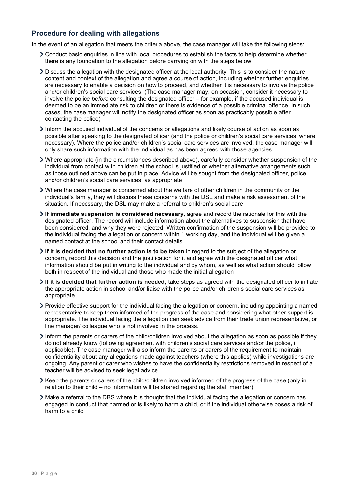# **Procedure for dealing with allegations**

In the event of an allegation that meets the criteria above, the case manager will take the following steps:

- Conduct basic enquiries in line with local procedures to establish the facts to help determine whether there is any foundation to the allegation before carrying on with the steps below
- Discuss the allegation with the designated officer at the local authority. This is to consider the nature, content and context of the allegation and agree a course of action, including whether further enquiries are necessary to enable a decision on how to proceed, and whether it is necessary to involve the police and/or children's social care services. (The case manager may, on occasion, consider it necessary to involve the police *before* consulting the designated officer – for example, if the accused individual is deemed to be an immediate risk to children or there is evidence of a possible criminal offence. In such cases, the case manager will notify the designated officer as soon as practicably possible after contacting the police)
- Inform the accused individual of the concerns or allegations and likely course of action as soon as possible after speaking to the designated officer (and the police or children's social care services, where necessary). Where the police and/or children's social care services are involved, the case manager will only share such information with the individual as has been agreed with those agencies
- Where appropriate (in the circumstances described above), carefully consider whether suspension of the individual from contact with children at the school is justified or whether alternative arrangements such as those outlined above can be put in place. Advice will be sought from the designated officer, police and/or children's social care services, as appropriate
- Where the case manager is concerned about the welfare of other children in the community or the individual's family, they will discuss these concerns with the DSL and make a risk assessment of the situation. If necessary, the DSL may make a referral to children's social care
- **If immediate suspension is considered necessary**, agree and record the rationale for this with the designated officer. The record will include information about the alternatives to suspension that have been considered, and why they were rejected. Written confirmation of the suspension will be provided to the individual facing the allegation or concern within 1 working day, and the individual will be given a named contact at the school and their contact details
- **If it is decided that no further action is to be taken** in regard to the subject of the allegation or concern, record this decision and the justification for it and agree with the designated officer what information should be put in writing to the individual and by whom, as well as what action should follow both in respect of the individual and those who made the initial allegation
- **If it is decided that further action is needed**, take steps as agreed with the designated officer to initiate the appropriate action in school and/or liaise with the police and/or children's social care services as appropriate
- Provide effective support for the individual facing the allegation or concern, including appointing a named representative to keep them informed of the progress of the case and considering what other support is appropriate. The individual facing the allegation can seek advice from their trade union representative, or line manager/ colleague who is not involved in the process.
- Inform the parents or carers of the child/children involved about the allegation as soon as possible if they do not already know (following agreement with children's social care services and/or the police, if applicable). The case manager will also inform the parents or carers of the requirement to maintain confidentiality about any allegations made against teachers (where this applies) while investigations are ongoing. Any parent or carer who wishes to have the confidentiality restrictions removed in respect of a teacher will be advised to seek legal advice
- Keep the parents or carers of the child/children involved informed of the progress of the case (only in relation to their child – no information will be shared regarding the staff member)
- Make a referral to the DBS where it is thought that the individual facing the allegation or concern has engaged in conduct that harmed or is likely to harm a child, or if the individual otherwise poses a risk of harm to a child

.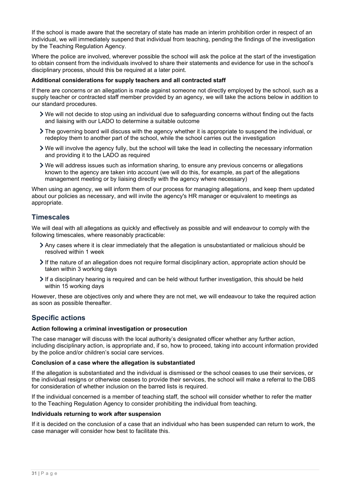If the school is made aware that the secretary of state has made an interim prohibition order in respect of an individual, we will immediately suspend that individual from teaching, pending the findings of the investigation by the Teaching Regulation Agency.

Where the police are involved, wherever possible the school will ask the police at the start of the investigation to obtain consent from the individuals involved to share their statements and evidence for use in the school's disciplinary process, should this be required at a later point.

### **Additional considerations for supply teachers and all contracted staff**

If there are concerns or an allegation is made against someone not directly employed by the school, such as a supply teacher or contracted staff member provided by an agency, we will take the actions below in addition to our standard procedures.

- We will not decide to stop using an individual due to safeguarding concerns without finding out the facts and liaising with our LADO to determine a suitable outcome
- The governing board will discuss with the agency whether it is appropriate to suspend the individual, or redeploy them to another part of the school, while the school carries out the investigation
- We will involve the agency fully, but the school will take the lead in collecting the necessary information and providing it to the LADO as required
- We will address issues such as information sharing, to ensure any previous concerns or allegations known to the agency are taken into account (we will do this, for example, as part of the allegations management meeting or by liaising directly with the agency where necessary)

When using an agency, we will inform them of our process for managing allegations, and keep them updated about our policies as necessary, and will invite the agency's HR manager or equivalent to meetings as appropriate.

# **Timescales**

We will deal with all allegations as quickly and effectively as possible and will endeavour to comply with the following timescales, where reasonably practicable:

- Any cases where it is clear immediately that the allegation is unsubstantiated or malicious should be resolved within 1 week
- $\triangleright$  If the nature of an allegation does not require formal disciplinary action, appropriate action should be taken within 3 working days
- If a disciplinary hearing is required and can be held without further investigation, this should be held within 15 working days

However, these are objectives only and where they are not met, we will endeavour to take the required action as soon as possible thereafter.

## **Specific actions**

### **Action following a criminal investigation or prosecution**

The case manager will discuss with the local authority's designated officer whether any further action, including disciplinary action, is appropriate and, if so, how to proceed, taking into account information provided by the police and/or children's social care services.

### **Conclusion of a case where the allegation is substantiated**

If the allegation is substantiated and the individual is dismissed or the school ceases to use their services, or the individual resigns or otherwise ceases to provide their services, the school will make a referral to the DBS for consideration of whether inclusion on the barred lists is required.

If the individual concerned is a member of teaching staff, the school will consider whether to refer the matter to the Teaching Regulation Agency to consider prohibiting the individual from teaching.

#### **Individuals returning to work after suspension**

If it is decided on the conclusion of a case that an individual who has been suspended can return to work, the case manager will consider how best to facilitate this.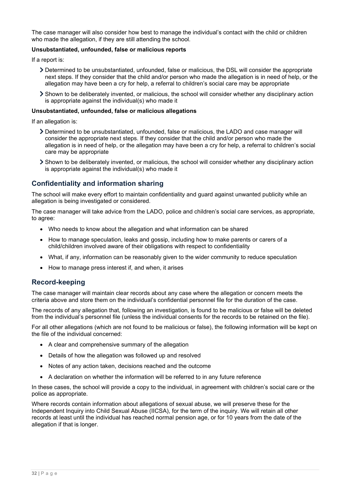The case manager will also consider how best to manage the individual's contact with the child or children who made the allegation, if they are still attending the school.

### **Unsubstantiated, unfounded, false or malicious reports**

If a report is:

- Determined to be unsubstantiated, unfounded, false or malicious, the DSL will consider the appropriate next steps. If they consider that the child and/or person who made the allegation is in need of help, or the allegation may have been a cry for help, a referral to children's social care may be appropriate
- Shown to be deliberately invented, or malicious, the school will consider whether any disciplinary action is appropriate against the individual(s) who made it

#### **Unsubstantiated, unfounded, false or malicious allegations**

If an allegation is:

- Determined to be unsubstantiated, unfounded, false or malicious, the LADO and case manager will consider the appropriate next steps. If they consider that the child and/or person who made the allegation is in need of help, or the allegation may have been a cry for help, a referral to children's social care may be appropriate
- Shown to be deliberately invented, or malicious, the school will consider whether any disciplinary action is appropriate against the individual(s) who made it

## **Confidentiality and information sharing**

The school will make every effort to maintain confidentiality and guard against unwanted publicity while an allegation is being investigated or considered.

The case manager will take advice from the LADO, police and children's social care services, as appropriate, to agree:

- Who needs to know about the allegation and what information can be shared
- How to manage speculation, leaks and gossip, including how to make parents or carers of a child/children involved aware of their obligations with respect to confidentiality
- What, if any, information can be reasonably given to the wider community to reduce speculation
- How to manage press interest if, and when, it arises

## **Record-keeping**

The case manager will maintain clear records about any case where the allegation or concern meets the criteria above and store them on the individual's confidential personnel file for the duration of the case.

The records of any allegation that, following an investigation, is found to be malicious or false will be deleted from the individual's personnel file (unless the individual consents for the records to be retained on the file).

For all other allegations (which are not found to be malicious or false), the following information will be kept on the file of the individual concerned:

- A clear and comprehensive summary of the allegation
- Details of how the allegation was followed up and resolved
- Notes of any action taken, decisions reached and the outcome
- A declaration on whether the information will be referred to in any future reference

In these cases, the school will provide a copy to the individual, in agreement with children's social care or the police as appropriate.

Where records contain information about allegations of sexual abuse, we will preserve these for the Independent Inquiry into Child Sexual Abuse (IICSA), for the term of the inquiry. We will retain all other records at least until the individual has reached normal pension age, or for 10 years from the date of the allegation if that is longer.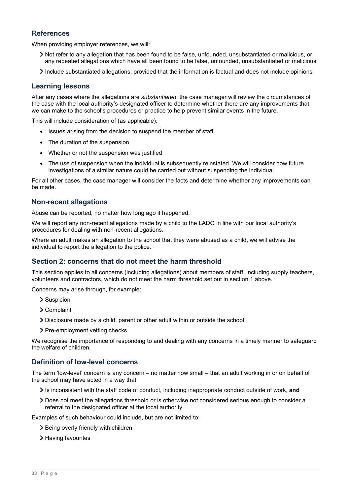# **References**

When providing employer references, we will:

- Not refer to any allegation that has been found to be false, unfounded, unsubstantiated or malicious, or any repeated allegations which have all been found to be false, unfounded, unsubstantiated or malicious
- $\blacktriangleright$  Include substantiated allegations, provided that the information is factual and does not include opinions

# **Learning lessons**

After any cases where the allegations are *substantiated*, the case manager will review the circumstances of the case with the local authority's designated officer to determine whether there are any improvements that we can make to the school's procedures or practice to help prevent similar events in the future.

This will include consideration of (as applicable):

- Issues arising from the decision to suspend the member of staff
- The duration of the suspension
- Whether or not the suspension was justified
- The use of suspension when the individual is subsequently reinstated. We will consider how future investigations of a similar nature could be carried out without suspending the individual

For all other cases, the case manager will consider the facts and determine whether any improvements can be made.

# **Non-recent allegations**

Abuse can be reported, no matter how long ago it happened.

We will report any non-recent allegations made by a child to the LADO in line with our local authority's procedures for dealing with non-recent allegations.

Where an adult makes an allegation to the school that they were abused as a child, we will advise the individual to report the allegation to the police.

# **Section 2: concerns that do not meet the harm threshold**

This section applies to all concerns (including allegations) about members of staff, including supply teachers, volunteers and contractors, which do not meet the harm threshold set out in section 1 above.

Concerns may arise through, for example:

- > Suspicion
- Complaint
- Disclosure made by a child, parent or other adult within or outside the school
- > Pre-employment vetting checks

We recognise the importance of responding to and dealing with any concerns in a timely manner to safeguard the welfare of children.

## **Definition of low-level concerns**

The term 'low-level' concern is any concern – no matter how small – that an adult working in or on behalf of the school may have acted in a way that:

- Is inconsistent with the staff code of conduct, including inappropriate conduct outside of work, **and**
- Does not meet the allegations threshold or is otherwise not considered serious enough to consider a referral to the designated officer at the local authority

Examples of such behaviour could include, but are not limited to:

- > Being overly friendly with children
- > Having favourites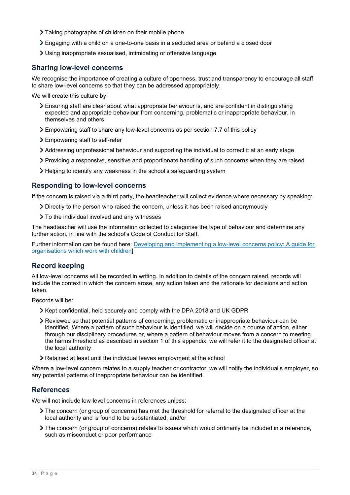- Taking photographs of children on their mobile phone
- Engaging with a child on a one-to-one basis in a secluded area or behind a closed door
- Using inappropriate sexualised, intimidating or offensive language

## **Sharing low-level concerns**

We recognise the importance of creating a culture of openness, trust and transparency to encourage all staff to share low-level concerns so that they can be addressed appropriately.

We will create this culture by:

- Ensuring staff are clear about what appropriate behaviour is, and are confident in distinguishing expected and appropriate behaviour from concerning, problematic or inappropriate behaviour, in themselves and others
- Empowering staff to share any low-level concerns as per section 7.7 of this policy
- Empowering staff to self-refer
- Addressing unprofessional behaviour and supporting the individual to correct it at an early stage
- Providing a responsive, sensitive and proportionate handling of such concerns when they are raised
- Helping to identify any weakness in the school's safeguarding system

### **Responding to low-level concerns**

If the concern is raised via a third party, the headteacher will collect evidence where necessary by speaking:

- Directly to the person who raised the concern, unless it has been raised anonymously
- $\geq$  To the individual involved and any witnesses

The headteacher will use the information collected to categorise the type of behaviour and determine any further action, in line with the school's Code of Conduct for Staff.

Further information can be found here: [Developing and implementing a low-level concerns policy: A guide for](https://www.farrer.co.uk/news-and-insights/developing-and-implementing-a-low-level-concerns-policy-a-guide-for-organisations-which-work-with-children/)  [organisations which work with children\]](https://www.farrer.co.uk/news-and-insights/developing-and-implementing-a-low-level-concerns-policy-a-guide-for-organisations-which-work-with-children/)

## **Record keeping**

All low-level concerns will be recorded in writing. In addition to details of the concern raised, records will include the context in which the concern arose, any action taken and the rationale for decisions and action taken.

Records will be:

- Xept confidential, held securely and comply with the DPA 2018 and UK GDPR
- Reviewed so that potential patterns of concerning, problematic or inappropriate behaviour can be identified. Where a pattern of such behaviour is identified, we will decide on a course of action, either through our disciplinary procedures or, where a pattern of behaviour moves from a concern to meeting the harms threshold as described in section 1 of this appendix, we will refer it to the designated officer at the local authority
- Retained at least until the individual leaves employment at the school

Where a low-level concern relates to a supply teacher or contractor, we will notify the individual's employer, so any potential patterns of inappropriate behaviour can be identified.

## **References**

We will not include low-level concerns in references unless:

- The concern (or group of concerns) has met the threshold for referral to the designated officer at the local authority and is found to be substantiated; and/or
- The concern (or group of concerns) relates to issues which would ordinarily be included in a reference, such as misconduct or poor performance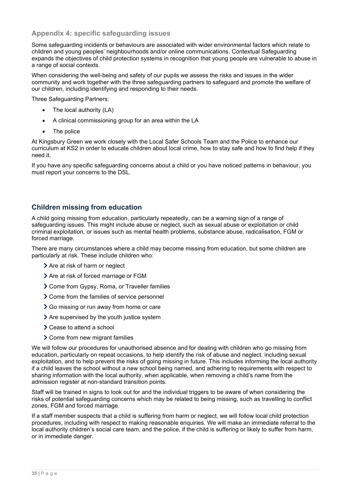# <span id="page-34-0"></span>**Appendix 4: specific safeguarding issues**

Some safeguarding incidents or behaviours are associated with wider environmental factors which relate to children and young peoples' neighbourhoods and/or online communications. Contextual Safeguarding expands the objectives of child protection systems in recognition that young people are vulnerable to abuse in a range of social contexts.

When considering the well-being and safety of our pupils we assess the risks and issues in the wider community and work together with the three safeguarding partners to safeguard and promote the welfare of our children, including identifying and responding to their needs.

Three Safeguarding Partners:

- The local authority (LA)
- A clinical commissioning group for an area within the LA
- The police

At Kingsbury Green we work closely with the Local Safer Schools Team and the Police to enhance our curriculum at KS2 in order to educate children about local crime, how to stay safe and how to find help if they need it.

If you have any specific safeguarding concerns about a child or you have noticed patterns in behaviour, you must report your concerns to the DSL.

# **Children missing from education**

A child going missing from education, particularly repeatedly, can be a warning sign of a range of safeguarding issues. This might include abuse or neglect, such as sexual abuse or exploitation or child criminal exploitation, or issues such as mental health problems, substance abuse, radicalisation, FGM or forced marriage.

There are many circumstances where a child may become missing from education, but some children are particularly at risk. These include children who:

- > Are at risk of harm or neglect
- > Are at risk of forced marriage or FGM
- Come from Gypsy, Roma, or Traveller families
- > Come from the families of service personnel
- Go missing or run away from home or care
- > Are supervised by the youth justice system
- **>** Cease to attend a school
- > Come from new migrant families

We will follow our procedures for unauthorised absence and for dealing with children who go missing from education, particularly on repeat occasions, to help identify the risk of abuse and neglect, including sexual exploitation, and to help prevent the risks of going missing in future. This includes informing the local authority if a child leaves the school without a new school being named, and adhering to requirements with respect to sharing information with the local authority, when applicable, when removing a child's name from the admission register at non-standard transition points.

Staff will be trained in signs to look out for and the individual triggers to be aware of when considering the risks of potential safeguarding concerns which may be related to being missing, such as travelling to conflict zones, FGM and forced marriage.

If a staff member suspects that a child is suffering from harm or neglect, we will follow local child protection procedures, including with respect to making reasonable enquiries. We will make an immediate referral to the local authority children's social care team, and the police, if the child is suffering or likely to suffer from harm, or in immediate danger.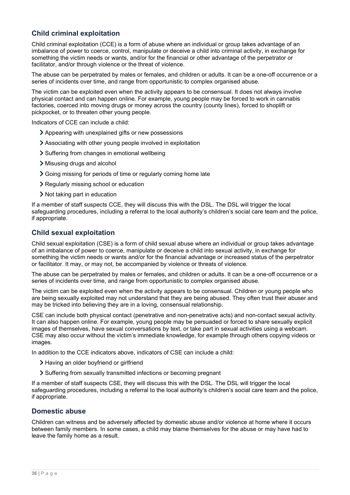# **Child criminal exploitation**

Child criminal exploitation (CCE) is a form of abuse where an individual or group takes advantage of an imbalance of power to coerce, control, manipulate or deceive a child into criminal activity, in exchange for something the victim needs or wants, and/or for the financial or other advantage of the perpetrator or facilitator, and/or through violence or the threat of violence.

The abuse can be perpetrated by males or females, and children or adults. It can be a one-off occurrence or a series of incidents over time, and range from opportunistic to complex organised abuse.

The victim can be exploited even when the activity appears to be consensual. It does not always involve physical contact and can happen online. For example, young people may be forced to work in cannabis factories, coerced into moving drugs or money across the country (county lines), forced to shoplift or pickpocket, or to threaten other young people.

Indicators of CCE can include a child:

- Appearing with unexplained gifts or new possessions
- Associating with other young people involved in exploitation
- Suffering from changes in emotional wellbeing
- Misusing drugs and alcohol
- Going missing for periods of time or regularly coming home late
- Regularly missing school or education
- If Not taking part in education

If a member of staff suspects CCE, they will discuss this with the DSL. The DSL will trigger the local safeguarding procedures, including a referral to the local authority's children's social care team and the police, if appropriate.

## **Child sexual exploitation**

Child sexual exploitation (CSE) is a form of child sexual abuse where an individual or group takes advantage of an imbalance of power to coerce, manipulate or deceive a child into sexual activity, in exchange for something the victim needs or wants and/or for the financial advantage or increased status of the perpetrator or facilitator. It may, or may not, be accompanied by violence or threats of violence.

The abuse can be perpetrated by males or females, and children or adults. It can be a one-off occurrence or a series of incidents over time, and range from opportunistic to complex organised abuse.

The victim can be exploited even when the activity appears to be consensual. Children or young people who are being sexually exploited may not understand that they are being abused. They often trust their abuser and may be tricked into believing they are in a loving, consensual relationship.

CSE can include both physical contact (penetrative and non-penetrative acts) and non-contact sexual activity. It can also happen online. For example, young people may be persuaded or forced to share sexually explicit images of themselves, have sexual conversations by text, or take part in sexual activities using a webcam. CSE may also occur without the victim's immediate knowledge, for example through others copying videos or images.

In addition to the CCE indicators above, indicators of CSE can include a child:

- > Having an older boyfriend or girlfriend
- Suffering from sexually transmitted infections or becoming pregnant

If a member of staff suspects CSE, they will discuss this with the DSL. The DSL will trigger the local safeguarding procedures, including a referral to the local authority's children's social care team and the police, if appropriate.

## **Domestic abuse**

Children can witness and be adversely affected by domestic abuse and/or violence at home where it occurs between family members. In some cases, a child may blame themselves for the abuse or may have had to leave the family home as a result.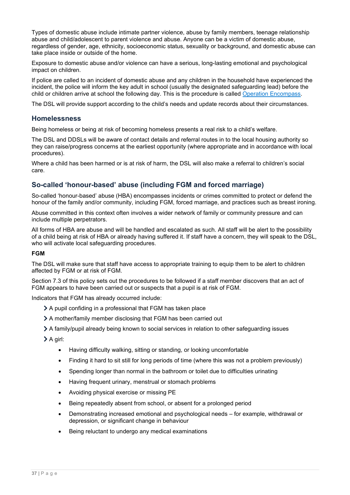Types of domestic abuse include intimate partner violence, abuse by family members, teenage relationship abuse and child/adolescent to parent violence and abuse. Anyone can be a victim of domestic abuse, regardless of gender, age, ethnicity, socioeconomic status, sexuality or background, and domestic abuse can take place inside or outside of the home.

Exposure to domestic abuse and/or violence can have a serious, long-lasting emotional and psychological impact on children.

If police are called to an incident of domestic abuse and any children in the household have experienced the incident, the police will inform the key adult in school (usually the designated safeguarding lead) before the child or children arrive at school the following day. This is the procedure is called [Operation Encompass.](https://www.operationencompass.org/)

The DSL will provide support according to the child's needs and update records about their circumstances.

### **Homelessness**

Being homeless or being at risk of becoming homeless presents a real risk to a child's welfare.

The DSL and DDSLs will be aware of contact details and referral routes in to the local housing authority so they can raise/progress concerns at the earliest opportunity (where appropriate and in accordance with local procedures).

Where a child has been harmed or is at risk of harm, the DSL will also make a referral to children's social care.

## **So-called 'honour-based' abuse (including FGM and forced marriage)**

So-called 'honour-based' abuse (HBA) encompasses incidents or crimes committed to protect or defend the honour of the family and/or community, including FGM, forced marriage, and practices such as breast ironing.

Abuse committed in this context often involves a wider network of family or community pressure and can include multiple perpetrators.

All forms of HBA are abuse and will be handled and escalated as such. All staff will be alert to the possibility of a child being at risk of HBA or already having suffered it. If staff have a concern, they will speak to the DSL, who will activate local safeguarding procedures.

#### **FGM**

The DSL will make sure that staff have access to appropriate training to equip them to be alert to children affected by FGM or at risk of FGM.

Section 7.3 of this policy sets out the procedures to be followed if a staff member discovers that an act of FGM appears to have been carried out or suspects that a pupil is at risk of FGM.

Indicators that FGM has already occurred include:

- A pupil confiding in a professional that FGM has taken place
- A mother/family member disclosing that FGM has been carried out
- A family/pupil already being known to social services in relation to other safeguarding issues

A girl:

- Having difficulty walking, sitting or standing, or looking uncomfortable
- Finding it hard to sit still for long periods of time (where this was not a problem previously)
- Spending longer than normal in the bathroom or toilet due to difficulties urinating
- Having frequent urinary, menstrual or stomach problems
- Avoiding physical exercise or missing PE
- Being repeatedly absent from school, or absent for a prolonged period
- Demonstrating increased emotional and psychological needs for example, withdrawal or depression, or significant change in behaviour
- Being reluctant to undergo any medical examinations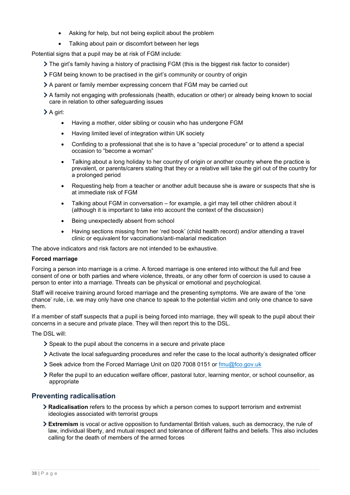- Asking for help, but not being explicit about the problem
- Talking about pain or discomfort between her legs

Potential signs that a pupil may be at risk of FGM include:

- The girl's family having a history of practising FGM (this is the biggest risk factor to consider)
- FGM being known to be practised in the girl's community or country of origin
- A parent or family member expressing concern that FGM may be carried out
- A family not engaging with professionals (health, education or other) or already being known to social care in relation to other safeguarding issues
- A girl:
	- Having a mother, older sibling or cousin who has undergone FGM
	- Having limited level of integration within UK society
	- Confiding to a professional that she is to have a "special procedure" or to attend a special occasion to "become a woman"
	- Talking about a long holiday to her country of origin or another country where the practice is prevalent, or parents/carers stating that they or a relative will take the girl out of the country for a prolonged period
	- Requesting help from a teacher or another adult because she is aware or suspects that she is at immediate risk of FGM
	- Talking about FGM in conversation for example, a girl may tell other children about it (although it is important to take into account the context of the discussion)
	- Being unexpectedly absent from school
	- Having sections missing from her 'red book' (child health record) and/or attending a travel clinic or equivalent for vaccinations/anti-malarial medication

The above indicators and risk factors are not intended to be exhaustive.

#### **Forced marriage**

Forcing a person into marriage is a crime. A forced marriage is one entered into without the full and free consent of one or both parties and where violence, threats, or any other form of coercion is used to cause a person to enter into a marriage. Threats can be physical or emotional and psychological.

Staff will receive training around forced marriage and the presenting symptoms. We are aware of the 'one chance' rule, i.e. we may only have one chance to speak to the potential victim and only one chance to save them.

If a member of staff suspects that a pupil is being forced into marriage, they will speak to the pupil about their concerns in a secure and private place. They will then report this to the DSL.

The DSL will:

- Speak to the pupil about the concerns in a secure and private place
- Activate the local safeguarding procedures and refer the case to the local authority's designated officer
- Seek advice from the Forced Marriage Unit on 020 7008 0151 or [fmu@fco.gov.uk](mailto:fmu@fco.gov.uk)
- Refer the pupil to an education welfare officer, pastoral tutor, learning mentor, or school counsellor, as appropriate

## **Preventing radicalisation**

- **Radicalisation** refers to the process by which a person comes to support terrorism and extremist ideologies associated with terrorist groups
- **Extremism** is vocal or active opposition to fundamental British values, such as democracy, the rule of law, individual liberty, and mutual respect and tolerance of different faiths and beliefs. This also includes calling for the death of members of the armed forces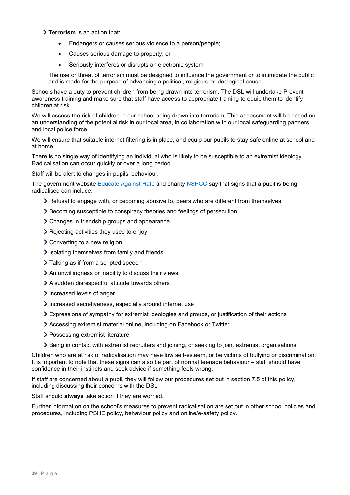### **Terrorism** is an action that:

- Endangers or causes serious violence to a person/people;
- Causes serious damage to property; or
- Seriously interferes or disrupts an electronic system

The use or threat of terrorism must be designed to influence the government or to intimidate the public and is made for the purpose of advancing a political, religious or ideological cause.

Schools have a duty to prevent children from being drawn into terrorism. The DSL will undertake Prevent awareness training and make sure that staff have access to appropriate training to equip them to identify children at risk.

We will assess the risk of children in our school being drawn into terrorism. This assessment will be based on an understanding of the potential risk in our local area, in collaboration with our local safeguarding partners and local police force.

We will ensure that suitable internet filtering is in place, and equip our pupils to stay safe online at school and at home.

There is no single way of identifying an individual who is likely to be susceptible to an extremist ideology. Radicalisation can occur quickly or over a long period.

Staff will be alert to changes in pupils' behaviour.

The government website [Educate Against](http://educateagainsthate.com/parents/what-are-the-warning-signs/) Hate and charity [NSPCC](https://www.nspcc.org.uk/what-you-can-do/report-abuse/dedicated-helplines/protecting-children-from-radicalisation/) say that signs that a pupil is being radicalised can include:

- $\geq$  Refusal to engage with, or becoming abusive to, peers who are different from themselves
- Becoming susceptible to conspiracy theories and feelings of persecution
- Changes in friendship groups and appearance
- Rejecting activities they used to enjoy
- **≻** Converting to a new religion
- $\ge$  Isolating themselves from family and friends
- > Talking as if from a scripted speech
- An unwillingness or inability to discuss their views
- A sudden disrespectful attitude towards others
- Increased levels of anger
- Increased secretiveness, especially around internet use
- Expressions of sympathy for extremist ideologies and groups, or justification of their actions
- Accessing extremist material online, including on Facebook or Twitter
- > Possessing extremist literature
- Being in contact with extremist recruiters and joining, or seeking to join, extremist organisations

Children who are at risk of radicalisation may have low self-esteem, or be victims of bullying or discrimination. It is important to note that these signs can also be part of normal teenage behaviour – staff should have confidence in their instincts and seek advice if something feels wrong.

If staff are concerned about a pupil, they will follow our procedures set out in section 7.5 of this policy, including discussing their concerns with the DSL.

Staff should **always** take action if they are worried.

Further information on the school's measures to prevent radicalisation are set out in other school policies and procedures, including PSHE policy, behaviour policy and online/e-safety policy.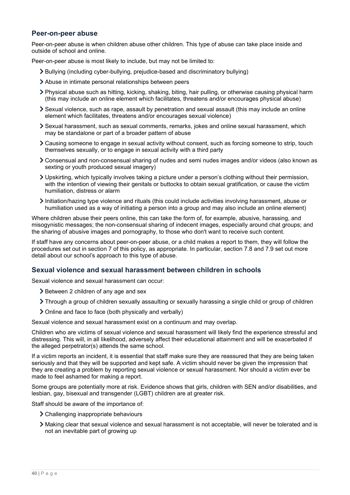# **Peer-on-peer abuse**

Peer-on-peer abuse is when children abuse other children. This type of abuse can take place inside and outside of school and online.

Peer-on-peer abuse is most likely to include, but may not be limited to:

- Bullying (including cyber-bullying, prejudice-based and discriminatory bullying)
- Abuse in intimate personal relationships between peers
- Physical abuse such as hitting, kicking, shaking, biting, hair pulling, or otherwise causing physical harm (this may include an online element which facilitates, threatens and/or encourages physical abuse)
- Sexual violence, such as rape, assault by penetration and sexual assault (this may include an online element which facilitates, threatens and/or encourages sexual violence)
- Sexual harassment, such as sexual comments, remarks, jokes and online sexual harassment, which may be standalone or part of a broader pattern of abuse
- Causing someone to engage in sexual activity without consent, such as forcing someone to strip, touch themselves sexually, or to engage in sexual activity with a third party
- Consensual and non-consensual sharing of nudes and semi nudes images and/or videos (also known as sexting or youth produced sexual imagery)
- Upskirting, which typically involves taking a picture under a person's clothing without their permission, with the intention of viewing their genitals or buttocks to obtain sexual gratification, or cause the victim humiliation, distress or alarm
- $\blacktriangleright$  Initiation/hazing type violence and rituals (this could include activities involving harassment, abuse or humiliation used as a way of initiating a person into a group and may also include an online element)

Where children abuse their peers online, this can take the form of, for example, abusive, harassing, and misogynistic messages; the non-consensual sharing of indecent images, especially around chat groups; and the sharing of abusive images and pornography, to those who don't want to receive such content.

If staff have any concerns about peer-on-peer abuse, or a child makes a report to them, they will follow the procedures set out in section 7 of this policy, as appropriate. In particular, section 7.8 and 7.9 set out more detail about our school's approach to this type of abuse.

## **Sexual violence and sexual harassment between children in schools**

Sexual violence and sexual harassment can occur:

- > Between 2 children of any age and sex
- Through a group of children sexually assaulting or sexually harassing a single child or group of children
- Online and face to face (both physically and verbally)

Sexual violence and sexual harassment exist on a continuum and may overlap.

Children who are victims of sexual violence and sexual harassment will likely find the experience stressful and distressing. This will, in all likelihood, adversely affect their educational attainment and will be exacerbated if the alleged perpetrator(s) attends the same school.

If a victim reports an incident, it is essential that staff make sure they are reassured that they are being taken seriously and that they will be supported and kept safe. A victim should never be given the impression that they are creating a problem by reporting sexual violence or sexual harassment. Nor should a victim ever be made to feel ashamed for making a report.

Some groups are potentially more at risk. Evidence shows that girls, children with SEN and/or disabilities, and lesbian, gay, bisexual and transgender (LGBT) children are at greater risk.

Staff should be aware of the importance of:

- Challenging inappropriate behaviours
- Making clear that sexual violence and sexual harassment is not acceptable, will never be tolerated and is not an inevitable part of growing up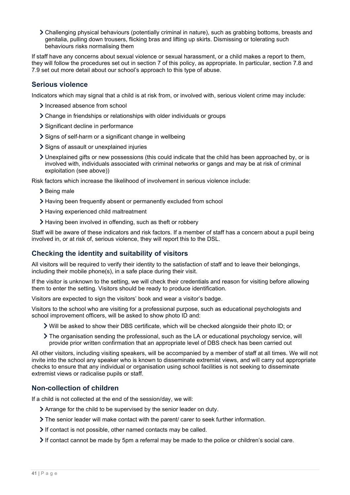Challenging physical behaviours (potentially criminal in nature), such as grabbing bottoms, breasts and genitalia, pulling down trousers, flicking bras and lifting up skirts. Dismissing or tolerating such behaviours risks normalising them

If staff have any concerns about sexual violence or sexual harassment, or a child makes a report to them, they will follow the procedures set out in section 7 of this policy, as appropriate. In particular, section 7.8 and 7.9 set out more detail about our school's approach to this type of abuse.

## **Serious violence**

Indicators which may signal that a child is at risk from, or involved with, serious violent crime may include:

- > Increased absence from school
- Change in friendships or relationships with older individuals or groups
- > Significant decline in performance
- > Signs of self-harm or a significant change in wellbeing
- Signs of assault or unexplained injuries
- Unexplained gifts or new possessions (this could indicate that the child has been approached by, or is involved with, individuals associated with criminal networks or gangs and may be at risk of criminal exploitation (see above))

Risk factors which increase the likelihood of involvement in serious violence include:

- $\geq$  Being male
- Having been frequently absent or permanently excluded from school
- > Having experienced child maltreatment
- Having been involved in offending, such as theft or robbery

Staff will be aware of these indicators and risk factors. If a member of staff has a concern about a pupil being involved in, or at risk of, serious violence, they will report this to the DSL.

# **Checking the identity and suitability of visitors**

All visitors will be required to verify their identity to the satisfaction of staff and to leave their belongings, including their mobile phone(s), in a safe place during their visit.

If the visitor is unknown to the setting, we will check their credentials and reason for visiting before allowing them to enter the setting. Visitors should be ready to produce identification.

Visitors are expected to sign the visitors' book and wear a visitor's badge.

Visitors to the school who are visiting for a professional purpose, such as educational psychologists and school improvement officers, will be asked to show photo ID and:

- Will be asked to show their DBS certificate, which will be checked alongside their photo ID; or
- The organisation sending the professional, such as the LA or educational psychology service, will provide prior written confirmation that an appropriate level of DBS check has been carried out

All other visitors, including visiting speakers, will be accompanied by a member of staff at all times. We will not invite into the school any speaker who is known to disseminate extremist views, and will carry out appropriate checks to ensure that any individual or organisation using school facilities is not seeking to disseminate extremist views or radicalise pupils or staff.

## **Non-collection of children**

If a child is not collected at the end of the session/day, we will:

- Arrange for the child to be supervised by the senior leader on duty.
- The senior leader will make contact with the parent/ carer to seek further information.
- If contact is not possible, other named contacts may be called.
- If contact cannot be made by 5pm a referral may be made to the police or children's social care.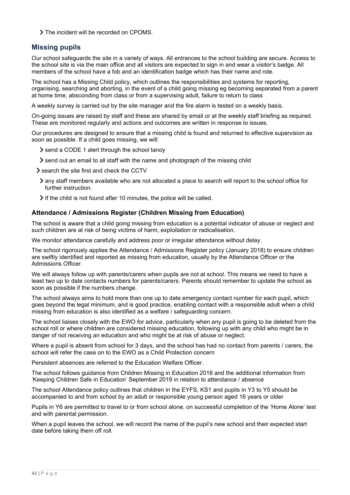> The incident will be recorded on CPOMS.

# **Missing pupils**

Our school safeguards the site in a variety of ways. All entrances to the school building are secure. Access to the school site is via the main office and all visitors are expected to sign in and wear a visitor's badge. All members of the school have a fob and an identification badge which has their name and role.

The school has a Missing Child policy, which outlines the responsibilities and systems for reporting, organising, searching and aborting, in the event of a child going missing eg becoming separated from a parent at home time, absconding from class or from a supervising adult, failure to return to class

A weekly survey is carried out by the site manager and the fire alarm is tested on a weekly basis.

On-going issues are raised by staff and these are shared by email or at the weekly staff briefing as required. These are monitored regularly and actions and outcomes are written in response to issues.

Our procedures are designed to ensure that a missing child is found and returned to effective supervision as soon as possible. If a child goes missing, we will:

- Send a CODE 1 alert through the school tanoy
- $\ge$  send out an email to all staff with the name and photograph of the missing child
- $\ge$  search the site first and check the CCTV
- any staff members available who are not allocated a place to search will report to the school office for further instruction.
- $\geq$  If the child is not found after 10 minutes, the police will be called.

### **Attendance / Admissions Register (Children Missing from Education)**

The school is aware that a child going missing from education is a potential indicator of abuse or neglect and such children are at risk of being victims of harm, exploitation or radicalisation.

We monitor attendance carefully and address poor or irregular attendance without delay.

The school rigorously applies the Attendance / Admissions Register policy (January 2018) to ensure children are swiftly identified and reported as missing from education, usually by the Attendance Officer or the Admissions Officer.

We will always follow up with parents/carers when pupils are not at school. This means we need to have a least two up to date contacts numbers for parents/carers. Parents should remember to update the school as soon as possible if the numbers change.

The school always aims to hold more than one up to date emergency contact number for each pupil, which goes beyond the legal minimum, and is good practice, enabling contact with a responsible adult when a child missing from education is also identified as a welfare / safeguarding concern.

The school liaises closely with the EWO for advice, particularly when any pupil is going to be deleted from the school roll or where children are considered missing education, following up with any child who might be in danger of not receiving an education and who might be at risk of abuse or neglect.

Where a pupil is absent from school for 3 days, and the school has had no contact from parents / carers, the school will refer the case on to the EWO as a Child Protection concern

Persistent absences are referred to the Education Welfare Officer.

The school follows guidance from Children Missing in Education 2016 and the additional information from 'Keeping Children Safe in Education' September 2019 in relation to attendance / absence

The school Attendance policy outlines that children in the EYFS, KS1 and pupils in Y3 to Y5 should be accompanied to and from school by an adult or responsible young person aged 16 years or older

Pupils in Y6 are permitted to travel to or from school alone, on successful completion of the 'Home Alone' test and with parental permission.

When a pupil leaves the school, we will record the name of the pupil's new school and their expected start date before taking them off roll.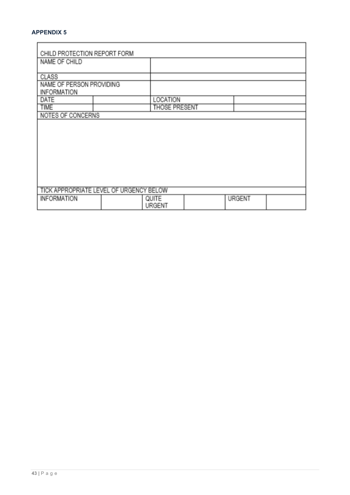# **APPENDIX 5**

 $\overline{\phantom{0}}$ 

| CHILD PROTECTION REPORT FORM            |  |                      |  |               |  |
|-----------------------------------------|--|----------------------|--|---------------|--|
| NAME OF CHILD                           |  |                      |  |               |  |
|                                         |  |                      |  |               |  |
| CLASS                                   |  |                      |  |               |  |
| NAME OF PERSON PROVIDING                |  |                      |  |               |  |
| <b>INFORMATION</b>                      |  |                      |  |               |  |
| DATE                                    |  | LOCATION             |  |               |  |
| <b>TIME</b>                             |  | <b>THOSE PRESENT</b> |  |               |  |
| NOTES OF CONCERNS                       |  |                      |  |               |  |
|                                         |  |                      |  |               |  |
|                                         |  |                      |  |               |  |
|                                         |  |                      |  |               |  |
|                                         |  |                      |  |               |  |
|                                         |  |                      |  |               |  |
|                                         |  |                      |  |               |  |
|                                         |  |                      |  |               |  |
|                                         |  |                      |  |               |  |
|                                         |  |                      |  |               |  |
| TICK APPROPRIATE LEVEL OF URGENCY BELOW |  |                      |  |               |  |
| <b>INFORMATION</b>                      |  | QUITE                |  | <b>URGENT</b> |  |
|                                         |  | URGENT               |  |               |  |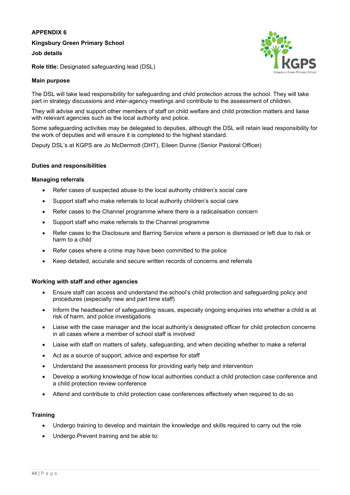### **APPENDIX 6**

**Kingsbury Green Primary School**

**Job details**

**Role title:** Designated safeguarding lead (DSL)

### **Main purpose**

The DSL will take lead responsibility for safeguarding and child protection across the school. They will take part in strategy discussions and inter-agency meetings and contribute to the assessment of children.

They will advise and support other members of staff on child welfare and child protection matters and liaise with relevant agencies such as the local authority and police.

Some safeguarding activities may be delegated to deputies, although the DSL will retain lead responsibility for the work of deputies and will ensure it is completed to the highest standard.

Deputy DSL's at KGPS are Jo McDermott (DHT), Eileen Dunne (Senior Pastoral Officer)

### **Duties and responsibilities**

### **Managing referrals**

- Refer cases of suspected abuse to the local authority children's social care
- Support staff who make referrals to local authority children's social care
- Refer cases to the Channel programme where there is a radicalisation concern
- Support staff who make referrals to the Channel programme
- Refer cases to the Disclosure and Barring Service where a person is dismissed or left due to risk or harm to a child
- Refer cases where a crime may have been committed to the police
- Keep detailed, accurate and secure written records of concerns and referrals

### **Working with staff and other agencies**

- Ensure staff can access and understand the school's child protection and safeguarding policy and procedures (especially new and part time staff)
- Inform the headteacher of safeguarding issues, especially ongoing enquiries into whether a child is at risk of harm, and police investigations
- Liaise with the case manager and the local authority's designated officer for child protection concerns in all cases where a member of school staff is involved
- Liaise with staff on matters of safety, safeguarding, and when deciding whether to make a referral
- Act as a source of support, advice and expertise for staff
- Understand the assessment process for providing early help and intervention
- Develop a working knowledge of how local authorities conduct a child protection case conference and a child protection review conference
- Attend and contribute to child protection case conferences effectively when required to do so

### **Training**

- Undergo training to develop and maintain the knowledge and skills required to carry out the role
- Undergo Prevent training and be able to: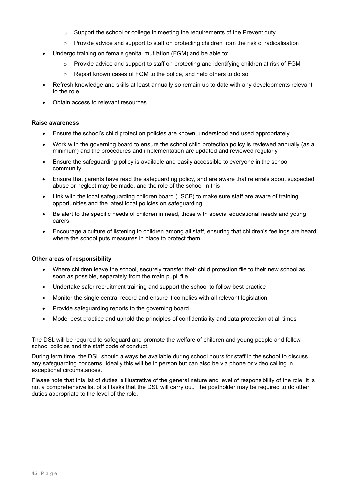- $\circ$  Support the school or college in meeting the requirements of the Prevent duty
- $\circ$  Provide advice and support to staff on protecting children from the risk of radicalisation
- Undergo training on female genital mutilation (FGM) and be able to:
	- $\circ$  Provide advice and support to staff on protecting and identifying children at risk of FGM
	- o Report known cases of FGM to the police, and help others to do so
- Refresh knowledge and skills at least annually so remain up to date with any developments relevant to the role
- Obtain access to relevant resources

#### **Raise awareness**

- Ensure the school's child protection policies are known, understood and used appropriately
- Work with the governing board to ensure the school child protection policy is reviewed annually (as a minimum) and the procedures and implementation are updated and reviewed regularly
- Ensure the safeguarding policy is available and easily accessible to everyone in the school community
- Ensure that parents have read the safeguarding policy, and are aware that referrals about suspected abuse or neglect may be made, and the role of the school in this
- Link with the local safeguarding children board (LSCB) to make sure staff are aware of training opportunities and the latest local policies on safeguarding
- Be alert to the specific needs of children in need, those with special educational needs and young carers
- Encourage a culture of listening to children among all staff, ensuring that children's feelings are heard where the school puts measures in place to protect them

### **Other areas of responsibility**

- Where children leave the school, securely transfer their child protection file to their new school as soon as possible, separately from the main pupil file
- Undertake safer recruitment training and support the school to follow best practice
- Monitor the single central record and ensure it complies with all relevant legislation
- Provide safeguarding reports to the governing board
- Model best practice and uphold the principles of confidentiality and data protection at all times

The DSL will be required to safeguard and promote the welfare of children and young people and follow school policies and the staff code of conduct.

During term time, the DSL should always be available during school hours for staff in the school to discuss any safeguarding concerns. Ideally this will be in person but can also be via phone or video calling in exceptional circumstances.

Please note that this list of duties is illustrative of the general nature and level of responsibility of the role. It is not a comprehensive list of all tasks that the DSL will carry out. The postholder may be required to do other duties appropriate to the level of the role.